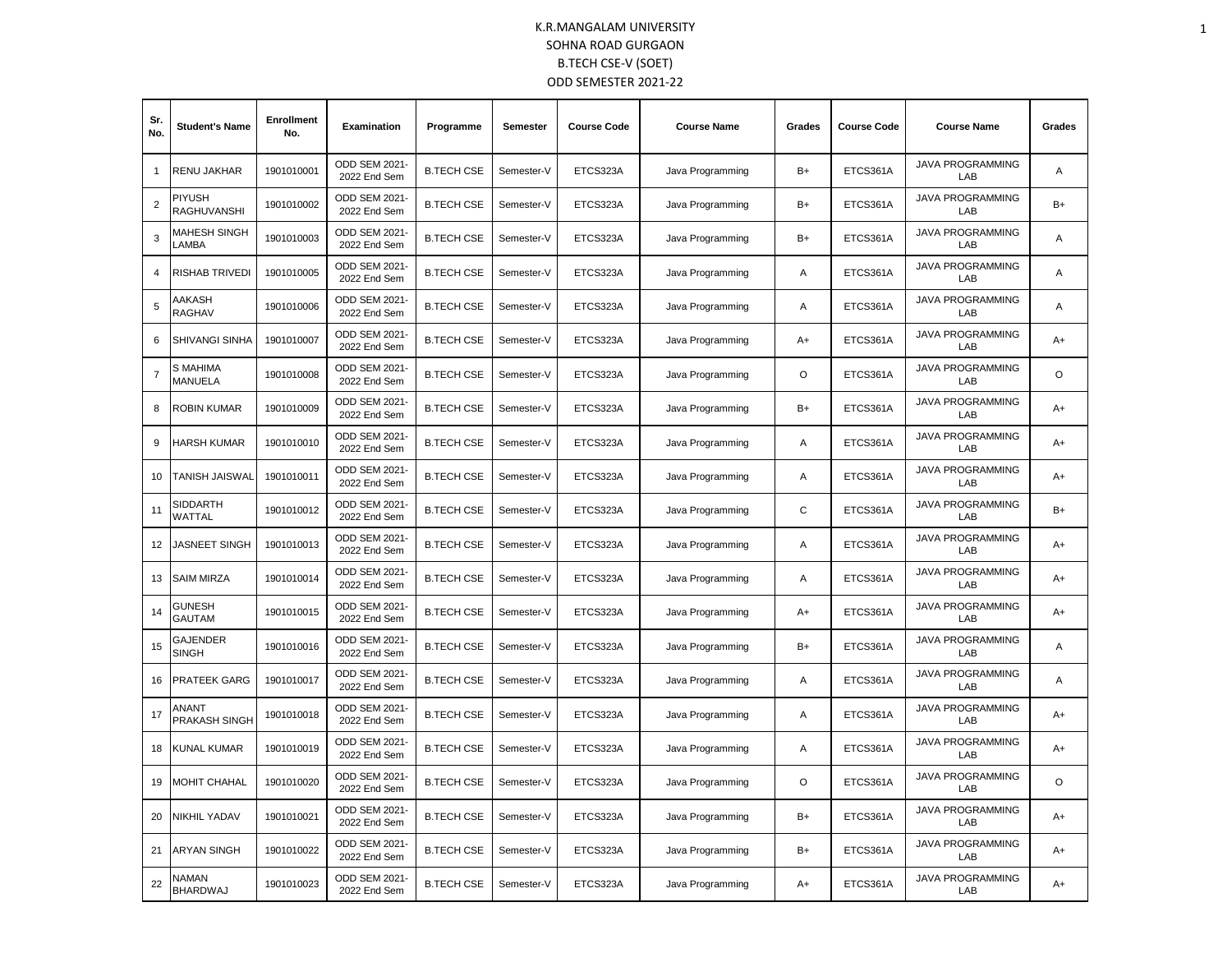| Sr.<br>No.     | <b>Student's Name</b>           | <b>Enrollment</b><br>No. | Examination                   | Programme         | Semester   | <b>Course Code</b> | <b>Course Name</b> | Grades  | <b>Course Code</b> | <b>Course Name</b>             | Grades  |
|----------------|---------------------------------|--------------------------|-------------------------------|-------------------|------------|--------------------|--------------------|---------|--------------------|--------------------------------|---------|
| 1              | RENU JAKHAR                     | 1901010001               | ODD SEM 2021<br>2022 End Sem  | <b>B.TECH CSE</b> | Semester-V | ETCS323A           | Java Programming   | B+      | ETCS361A           | JAVA PROGRAMMING<br>LAB        | Α       |
| 2              | <b>PIYUSH</b><br>RAGHUVANSHI    | 1901010002               | ODD SEM 2021<br>2022 End Sem  | <b>B.TECH CSE</b> | Semester-V | ETCS323A           | Java Programming   | B+      | ETCS361A           | <b>JAVA PROGRAMMING</b><br>LAB | $B+$    |
| 3              | MAHESH SINGH<br>LAMBA           | 1901010003               | ODD SEM 2021<br>2022 End Sem  | <b>B.TECH CSE</b> | Semester-V | ETCS323A           | Java Programming   | $B+$    | ETCS361A           | <b>JAVA PROGRAMMING</b><br>LAB | A       |
| 4              | RISHAB TRIVEDI                  | 1901010005               | ODD SEM 2021<br>2022 End Sem  | <b>B.TECH CSE</b> | Semester-V | ETCS323A           | Java Programming   | Α       | ETCS361A           | <b>JAVA PROGRAMMING</b><br>LAB | Α       |
| 5              | AAKASH<br>RAGHAV                | 1901010006               | ODD SEM 2021<br>2022 End Sem  | <b>B.TECH CSE</b> | Semester-V | ETCS323A           | Java Programming   | Α       | ETCS361A           | <b>JAVA PROGRAMMING</b><br>LAB | Α       |
| 6              | SHIVANGI SINHA                  | 1901010007               | ODD SEM 2021<br>2022 End Sem  | <b>B.TECH CSE</b> | Semester-V | ETCS323A           | Java Programming   | $A+$    | ETCS361A           | <b>JAVA PROGRAMMING</b><br>LAB | $A+$    |
| $\overline{7}$ | S MAHIMA<br><b>MANUELA</b>      | 1901010008               | ODD SEM 2021<br>2022 End Sem  | <b>B.TECH CSE</b> | Semester-V | ETCS323A           | Java Programming   | $\circ$ | ETCS361A           | <b>JAVA PROGRAMMING</b><br>LAB | $\circ$ |
| 8              | <b>ROBIN KUMAR</b>              | 1901010009               | ODD SEM 2021<br>2022 End Sem  | <b>B.TECH CSE</b> | Semester-V | ETCS323A           | Java Programming   | $B+$    | ETCS361A           | <b>JAVA PROGRAMMING</b><br>LAB | $A+$    |
| 9              | HARSH KUMAR                     | 1901010010               | ODD SEM 2021<br>2022 End Sem  | <b>B.TECH CSE</b> | Semester-V | ETCS323A           | Java Programming   | A       | ETCS361A           | <b>JAVA PROGRAMMING</b><br>LAB | $A+$    |
| 10             | TANISH JAISWAL                  | 1901010011               | ODD SEM 2021<br>2022 End Sem  | <b>B.TECH CSE</b> | Semester-V | ETCS323A           | Java Programming   | Α       | ETCS361A           | <b>JAVA PROGRAMMING</b><br>LAB | $A+$    |
| 11             | SIDDARTH<br>WATTAL              | 1901010012               | ODD SEM 2021<br>2022 End Sem  | <b>B.TECH CSE</b> | Semester-V | ETCS323A           | Java Programming   | C       | ETCS361A           | <b>JAVA PROGRAMMING</b><br>LAB | $B+$    |
| 12             | <b>JASNEET SINGH</b>            | 1901010013               | ODD SEM 2021<br>2022 End Sem  | <b>B.TECH CSE</b> | Semester-V | ETCS323A           | Java Programming   | Α       | ETCS361A           | <b>JAVA PROGRAMMING</b><br>LAB | A+      |
| 13             | <b>SAIM MIRZA</b>               | 1901010014               | ODD SEM 2021<br>2022 End Sem  | <b>B.TECH CSE</b> | Semester-V | ETCS323A           | Java Programming   | Α       | ETCS361A           | <b>JAVA PROGRAMMING</b><br>LAB | $A+$    |
| 14             | GUNESH<br><b>GAUTAM</b>         | 1901010015               | ODD SEM 2021<br>2022 End Sem  | <b>B.TECH CSE</b> | Semester-V | ETCS323A           | Java Programming   | $A+$    | ETCS361A           | <b>JAVA PROGRAMMING</b><br>LAB | $A+$    |
| 15             | <b>GAJENDER</b><br><b>SINGH</b> | 1901010016               | ODD SEM 2021<br>2022 End Sem  | <b>B.TECH CSE</b> | Semester-V | ETCS323A           | Java Programming   | B+      | ETCS361A           | <b>JAVA PROGRAMMING</b><br>LAB | Α       |
| 16             | <b>PRATEEK GARG</b>             | 1901010017               | ODD SEM 2021<br>2022 End Sem  | <b>B.TECH CSE</b> | Semester-V | ETCS323A           | Java Programming   | Α       | ETCS361A           | <b>JAVA PROGRAMMING</b><br>LAB | A       |
| 17             | ANANT<br>PRAKASH SINGH          | 1901010018               | ODD SEM 2021<br>2022 End Sem  | <b>B.TECH CSE</b> | Semester-V | ETCS323A           | Java Programming   | A       | ETCS361A           | <b>JAVA PROGRAMMING</b><br>LAB | $A+$    |
| 18             | KUNAL KUMAR                     | 1901010019               | ODD SEM 2021<br>2022 End Sem  | <b>B.TECH CSE</b> | Semester-V | ETCS323A           | Java Programming   | Α       | ETCS361A           | <b>JAVA PROGRAMMING</b><br>LAB | A+      |
| 19             | <b>MOHIT CHAHAL</b>             | 1901010020               | ODD SEM 2021<br>2022 End Sem  | <b>B.TECH CSE</b> | Semester-V | ETCS323A           | Java Programming   | $\circ$ | ETCS361A           | <b>JAVA PROGRAMMING</b><br>LAB | O       |
| 20             | NIKHIL YADAV                    | 1901010021               | ODD SEM 2021<br>2022 End Sem  | <b>B.TECH CSE</b> | Semester-V | ETCS323A           | Java Programming   | B+      | ETCS361A           | <b>JAVA PROGRAMMING</b><br>LAB | $A+$    |
| 21             | ARYAN SINGH                     | 1901010022               | ODD SEM 2021<br>2022 End Sem  | <b>B.TECH CSE</b> | Semester-V | ETCS323A           | Java Programming   | $B+$    | ETCS361A           | <b>JAVA PROGRAMMING</b><br>LAB | A+      |
| 22             | NAMAN<br>BHARDWAJ               | 1901010023               | ODD SEM 2021-<br>2022 End Sem | <b>B.TECH CSE</b> | Semester-V | ETCS323A           | Java Programming   | $A+$    | ETCS361A           | <b>JAVA PROGRAMMING</b><br>LAB | $A+$    |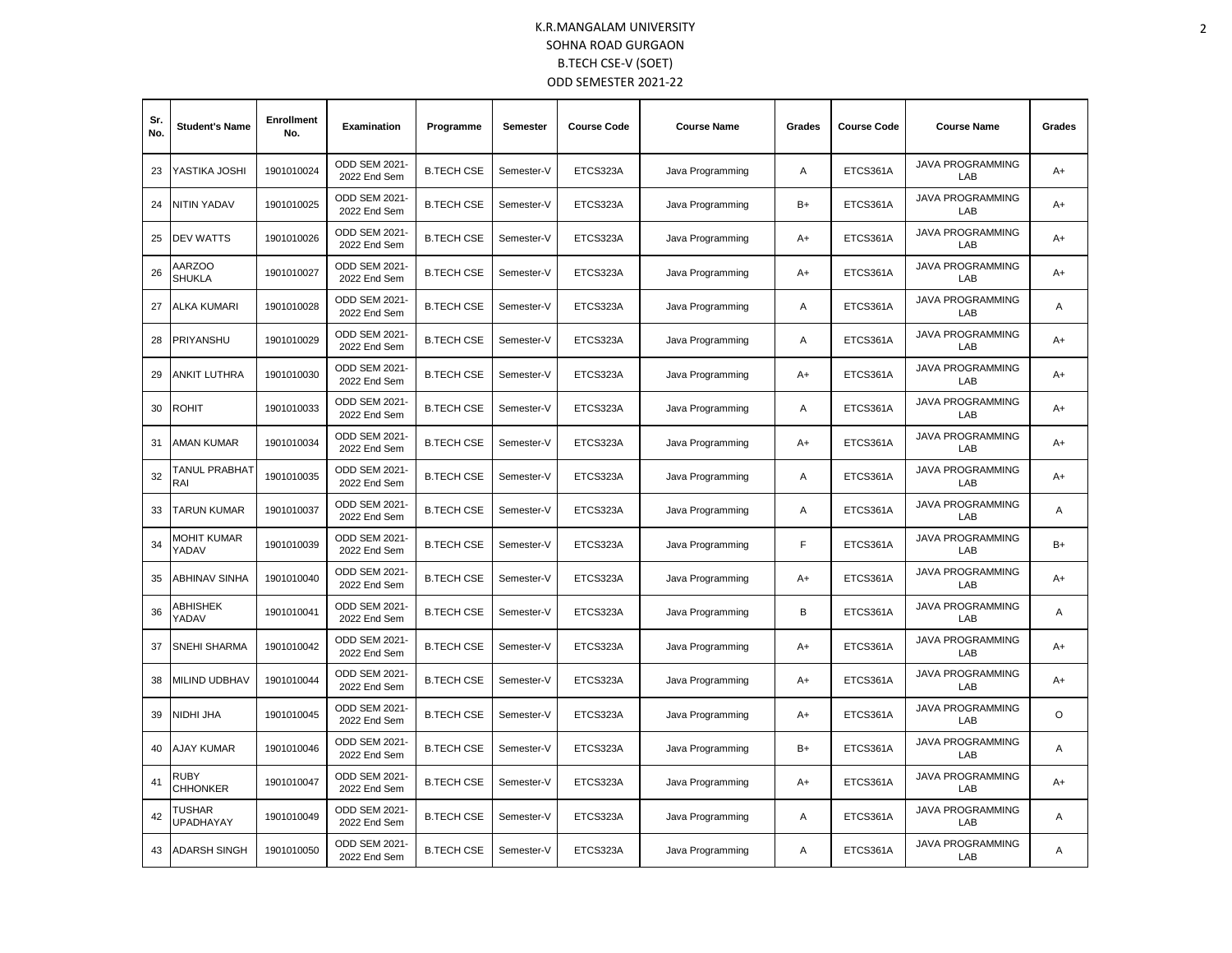| Sr.<br>No. | <b>Student's Name</b>          | <b>Enrollment</b><br>No. | <b>Examination</b>                   | Programme         | Semester   | <b>Course Code</b> | <b>Course Name</b> | Grades | <b>Course Code</b> | <b>Course Name</b>             | Grades |
|------------|--------------------------------|--------------------------|--------------------------------------|-------------------|------------|--------------------|--------------------|--------|--------------------|--------------------------------|--------|
| 23         | YASTIKA JOSHI                  | 1901010024               | ODD SEM 2021-<br>2022 End Sem        | <b>B.TECH CSE</b> | Semester-V | ETCS323A           | Java Programming   | Α      | ETCS361A           | <b>JAVA PROGRAMMING</b><br>LAB | $A+$   |
| 24         | NITIN YADAV                    | 1901010025               | <b>ODD SEM 2021-</b><br>2022 End Sem | <b>B.TECH CSE</b> | Semester-V | ETCS323A           | Java Programming   | B+     | ETCS361A           | <b>JAVA PROGRAMMING</b><br>LAB | A+     |
| 25         | <b>DEV WATTS</b>               | 1901010026               | ODD SEM 2021<br>2022 End Sem         | <b>B.TECH CSE</b> | Semester-V | ETCS323A           | Java Programming   | A+     | ETCS361A           | <b>JAVA PROGRAMMING</b><br>LAB | $A+$   |
| 26         | AARZOO<br><b>SHUKLA</b>        | 1901010027               | ODD SEM 2021-<br>2022 End Sem        | <b>B.TECH CSE</b> | Semester-V | ETCS323A           | Java Programming   | A+     | ETCS361A           | <b>JAVA PROGRAMMING</b><br>LAB | A+     |
| 27         | ALKA KUMARI                    | 1901010028               | ODD SEM 2021-<br>2022 End Sem        | <b>B.TECH CSE</b> | Semester-V | ETCS323A           | Java Programming   | A      | ETCS361A           | <b>JAVA PROGRAMMING</b><br>LAB | A      |
| 28         | PRIYANSHU                      | 1901010029               | ODD SEM 2021-<br>2022 End Sem        | <b>B.TECH CSE</b> | Semester-V | ETCS323A           | Java Programming   | Α      | ETCS361A           | <b>JAVA PROGRAMMING</b><br>LAB | $A+$   |
| 29         | ANKIT LUTHRA                   | 1901010030               | ODD SEM 2021-<br>2022 End Sem        | <b>B.TECH CSE</b> | Semester-V | ETCS323A           | Java Programming   | A+     | ETCS361A           | <b>JAVA PROGRAMMING</b><br>LAB | $A+$   |
| 30         | <b>ROHIT</b>                   | 1901010033               | ODD SEM 2021-<br>2022 End Sem        | <b>B.TECH CSE</b> | Semester-V | ETCS323A           | Java Programming   | Α      | ETCS361A           | <b>JAVA PROGRAMMING</b><br>LAB | $A+$   |
| 31         | AMAN KUMAR                     | 1901010034               | ODD SEM 2021-<br>2022 End Sem        | <b>B.TECH CSE</b> | Semester-V | ETCS323A           | Java Programming   | $A+$   | ETCS361A           | <b>JAVA PROGRAMMING</b><br>LAB | $A+$   |
| 32         | TANUL PRABHAT<br>RAI           | 1901010035               | ODD SEM 2021-<br>2022 End Sem        | <b>B.TECH CSE</b> | Semester-V | ETCS323A           | Java Programming   | A      | ETCS361A           | <b>JAVA PROGRAMMING</b><br>LAB | $A+$   |
| 33         | TARUN KUMAR                    | 1901010037               | ODD SEM 2021-<br>2022 End Sem        | <b>B.TECH CSE</b> | Semester-V | ETCS323A           | Java Programming   | Α      | ETCS361A           | <b>JAVA PROGRAMMING</b><br>LAB | Α      |
| 34         | MOHIT KUMAR<br>YADAV           | 1901010039               | <b>ODD SEM 2021-</b><br>2022 End Sem | <b>B.TECH CSE</b> | Semester-V | ETCS323A           | Java Programming   | F      | ETCS361A           | <b>JAVA PROGRAMMING</b><br>LAB | $B+$   |
| 35         | <b>ABHINAV SINHA</b>           | 1901010040               | ODD SEM 2021-<br>2022 End Sem        | <b>B.TECH CSE</b> | Semester-V | ETCS323A           | Java Programming   | A+     | ETCS361A           | <b>JAVA PROGRAMMING</b><br>LAB | A+     |
| 36         | ABHISHEK<br>YADAV              | 1901010041               | ODD SEM 2021-<br>2022 End Sem        | <b>B.TECH CSE</b> | Semester-V | ETCS323A           | Java Programming   | B      | ETCS361A           | <b>JAVA PROGRAMMING</b><br>LAB | A      |
| 37         | <b>SNEHI SHARMA</b>            | 1901010042               | ODD SEM 2021-<br>2022 End Sem        | <b>B.TECH CSE</b> | Semester-V | ETCS323A           | Java Programming   | $A+$   | ETCS361A           | <b>JAVA PROGRAMMING</b><br>LAB | $A+$   |
| 38         | MILIND UDBHAV                  | 1901010044               | ODD SEM 2021-<br>2022 End Sem        | <b>B.TECH CSE</b> | Semester-V | ETCS323A           | Java Programming   | A+     | ETCS361A           | <b>JAVA PROGRAMMING</b><br>LAB | $A+$   |
| 39         | NIDHI JHA                      | 1901010045               | ODD SEM 2021-<br>2022 End Sem        | <b>B.TECH CSE</b> | Semester-V | ETCS323A           | Java Programming   | A+     | ETCS361A           | <b>JAVA PROGRAMMING</b><br>LAB | O      |
| 40         | AJAY KUMAR                     | 1901010046               | ODD SEM 2021-<br>2022 End Sem        | <b>B.TECH CSE</b> | Semester-V | ETCS323A           | Java Programming   | B+     | ETCS361A           | <b>JAVA PROGRAMMING</b><br>LAB | A      |
| 41         | <b>RUBY</b><br><b>CHHONKER</b> | 1901010047               | ODD SEM 2021-<br>2022 End Sem        | <b>B.TECH CSE</b> | Semester-V | ETCS323A           | Java Programming   | $A+$   | ETCS361A           | <b>JAVA PROGRAMMING</b><br>LAB | $A+$   |
| 42         | TUSHAR<br><b>UPADHAYAY</b>     | 1901010049               | ODD SEM 2021-<br>2022 End Sem        | <b>B.TECH CSE</b> | Semester-V | ETCS323A           | Java Programming   | Α      | ETCS361A           | <b>JAVA PROGRAMMING</b><br>LAB | Α      |
| 43         | <b>ADARSH SINGH</b>            | 1901010050               | ODD SEM 2021-<br>2022 End Sem        | <b>B.TECH CSE</b> | Semester-V | ETCS323A           | Java Programming   | A      | ETCS361A           | <b>JAVA PROGRAMMING</b><br>LAB | Α      |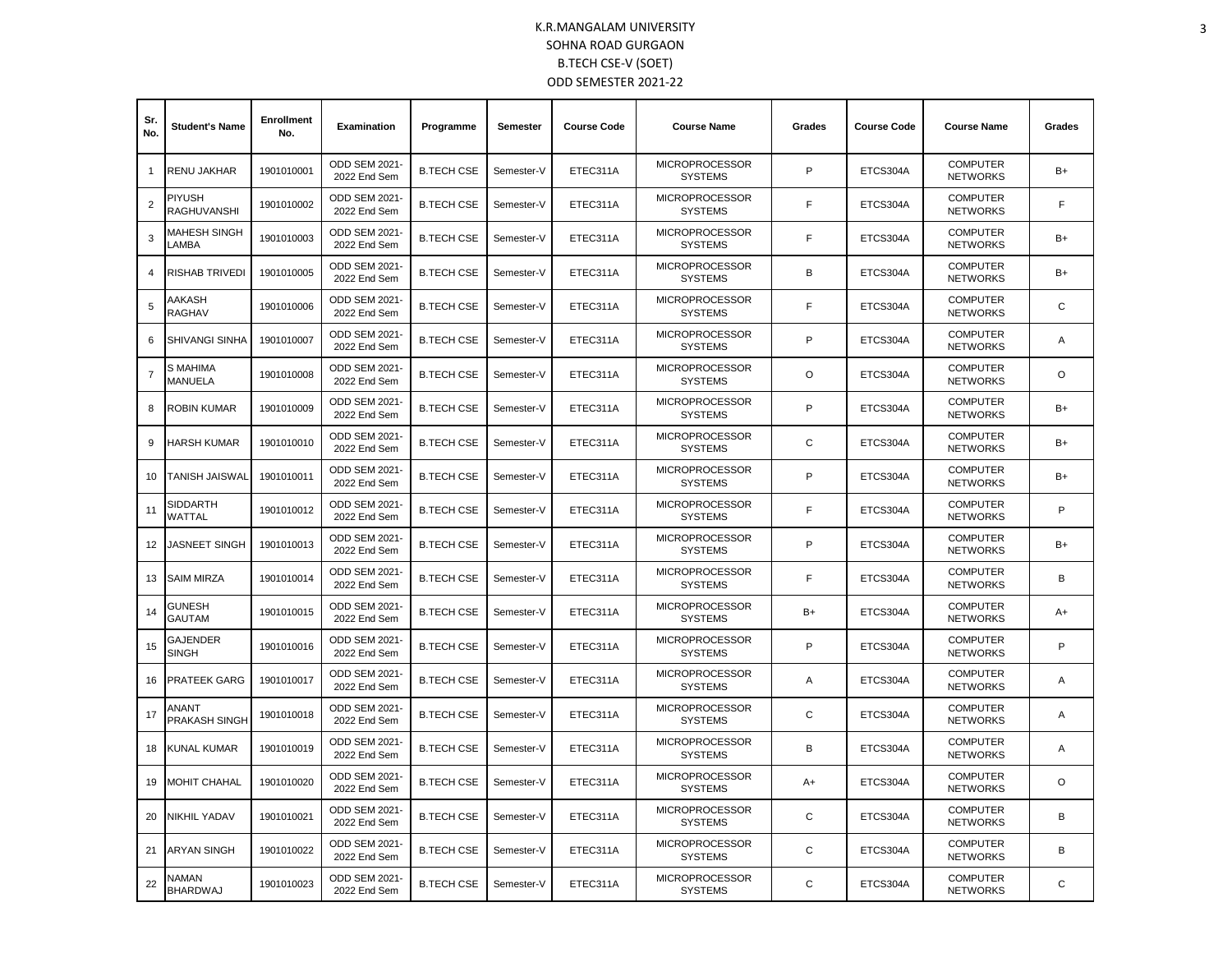| Sr.<br>No. | <b>Student's Name</b>               | <b>Enrollment</b><br>No. | Examination                          | Programme         | Semester   | <b>Course Code</b> | <b>Course Name</b>                      | Grades | <b>Course Code</b> | <b>Course Name</b>                 | Grades  |
|------------|-------------------------------------|--------------------------|--------------------------------------|-------------------|------------|--------------------|-----------------------------------------|--------|--------------------|------------------------------------|---------|
| 1          | RENU JAKHAR                         | 1901010001               | ODD SEM 2021-<br>2022 End Sem        | <b>B.TECH CSE</b> | Semester-V | ETEC311A           | <b>MICROPROCESSOR</b><br><b>SYSTEMS</b> | P      | ETCS304A           | <b>COMPUTER</b><br><b>NETWORKS</b> | $B+$    |
| 2          | <b>PIYUSH</b><br><b>RAGHUVANSHI</b> | 1901010002               | ODD SEM 2021-<br>2022 End Sem        | <b>B.TECH CSE</b> | Semester-V | ETEC311A           | <b>MICROPROCESSOR</b><br><b>SYSTEMS</b> | F      | ETCS304A           | <b>COMPUTER</b><br><b>NETWORKS</b> | F       |
| 3          | MAHESH SINGH<br>LAMBA               | 1901010003               | ODD SEM 2021-<br>2022 End Sem        | <b>B.TECH CSE</b> | Semester-V | ETEC311A           | <b>MICROPROCESSOR</b><br><b>SYSTEMS</b> | F      | ETCS304A           | <b>COMPUTER</b><br><b>NETWORKS</b> | $B+$    |
| 4          | <b>RISHAB TRIVEDI</b>               | 1901010005               | ODD SEM 2021-<br>2022 End Sem        | <b>B.TECH CSE</b> | Semester-V | ETEC311A           | <b>MICROPROCESSOR</b><br><b>SYSTEMS</b> | B      | ETCS304A           | <b>COMPUTER</b><br><b>NETWORKS</b> | B+      |
| 5          | AAKASH<br>RAGHAV                    | 1901010006               | <b>ODD SEM 2021-</b><br>2022 End Sem | <b>B.TECH CSE</b> | Semester-V | ETEC311A           | <b>MICROPROCESSOR</b><br><b>SYSTEMS</b> | E      | ETCS304A           | <b>COMPUTER</b><br><b>NETWORKS</b> | C       |
| 6          | <b>SHIVANGI SINHA</b>               | 1901010007               | ODD SEM 2021-<br>2022 End Sem        | <b>B.TECH CSE</b> | Semester-V | ETEC311A           | <b>MICROPROCESSOR</b><br><b>SYSTEMS</b> | P      | ETCS304A           | <b>COMPUTER</b><br><b>NETWORKS</b> | A       |
| 7          | S MAHIMA<br>MANUELA                 | 1901010008               | ODD SEM 2021-<br>2022 End Sem        | <b>B.TECH CSE</b> | Semester-V | ETEC311A           | <b>MICROPROCESSOR</b><br><b>SYSTEMS</b> | O      | ETCS304A           | <b>COMPUTER</b><br><b>NETWORKS</b> | O       |
| 8          | <b>ROBIN KUMAR</b>                  | 1901010009               | <b>ODD SEM 2021-</b><br>2022 End Sem | <b>B.TECH CSE</b> | Semester-V | ETEC311A           | <b>MICROPROCESSOR</b><br><b>SYSTEMS</b> | P      | ETCS304A           | <b>COMPUTER</b><br><b>NETWORKS</b> | $B+$    |
| 9          | <b>HARSH KUMAR</b>                  | 1901010010               | ODD SEM 2021-<br>2022 End Sem        | <b>B.TECH CSE</b> | Semester-V | ETEC311A           | <b>MICROPROCESSOR</b><br><b>SYSTEMS</b> | C      | ETCS304A           | <b>COMPUTER</b><br><b>NETWORKS</b> | $B+$    |
| 10         | <b>TANISH JAISWAL</b>               | 1901010011               | ODD SEM 2021-<br>2022 End Sem        | <b>B.TECH CSE</b> | Semester-V | ETEC311A           | <b>MICROPROCESSOR</b><br><b>SYSTEMS</b> | P      | ETCS304A           | <b>COMPUTER</b><br><b>NETWORKS</b> | $B+$    |
| 11         | SIDDARTH<br><b>WATTAL</b>           | 1901010012               | <b>ODD SEM 2021-</b><br>2022 End Sem | <b>B.TECH CSE</b> | Semester-V | ETEC311A           | <b>MICROPROCESSOR</b><br><b>SYSTEMS</b> | F      | ETCS304A           | <b>COMPUTER</b><br><b>NETWORKS</b> | P       |
| 12         | JASNEET SINGH                       | 1901010013               | ODD SEM 2021-<br>2022 End Sem        | <b>B.TECH CSE</b> | Semester-V | ETEC311A           | <b>MICROPROCESSOR</b><br><b>SYSTEMS</b> | P      | ETCS304A           | <b>COMPUTER</b><br><b>NETWORKS</b> | B+      |
| 13         | <b>SAIM MIRZA</b>                   | 1901010014               | ODD SEM 2021-<br>2022 End Sem        | <b>B.TECH CSE</b> | Semester-V | ETEC311A           | <b>MICROPROCESSOR</b><br><b>SYSTEMS</b> | F      | ETCS304A           | <b>COMPUTER</b><br><b>NETWORKS</b> | B       |
| 14         | <b>GUNESH</b><br><b>GAUTAM</b>      | 1901010015               | <b>ODD SEM 2021-</b><br>2022 End Sem | <b>B.TECH CSE</b> | Semester-V | ETEC311A           | <b>MICROPROCESSOR</b><br><b>SYSTEMS</b> | $B+$   | ETCS304A           | <b>COMPUTER</b><br><b>NETWORKS</b> | $A+$    |
| 15         | <b>GAJENDER</b><br><b>SINGH</b>     | 1901010016               | ODD SEM 2021-<br>2022 End Sem        | <b>B.TECH CSE</b> | Semester-V | ETEC311A           | <b>MICROPROCESSOR</b><br><b>SYSTEMS</b> | P      | ETCS304A           | <b>COMPUTER</b><br><b>NETWORKS</b> | P       |
| 16         | <b>PRATEEK GARG</b>                 | 1901010017               | <b>ODD SEM 2021-</b><br>2022 End Sem | <b>B.TECH CSE</b> | Semester-V | ETEC311A           | <b>MICROPROCESSOR</b><br><b>SYSTEMS</b> | A      | ETCS304A           | <b>COMPUTER</b><br><b>NETWORKS</b> | Α       |
| 17         | ANANT<br>PRAKASH SINGH              | 1901010018               | ODD SEM 2021-<br>2022 End Sem        | <b>B.TECH CSE</b> | Semester-V | ETEC311A           | <b>MICROPROCESSOR</b><br><b>SYSTEMS</b> | C      | ETCS304A           | <b>COMPUTER</b><br><b>NETWORKS</b> | A       |
| 18         | KUNAL KUMAR                         | 1901010019               | <b>ODD SEM 2021-</b><br>2022 End Sem | <b>B.TECH CSE</b> | Semester-V | ETEC311A           | <b>MICROPROCESSOR</b><br><b>SYSTEMS</b> | В      | ETCS304A           | <b>COMPUTER</b><br><b>NETWORKS</b> | Α       |
| 19         | <b>MOHIT CHAHAL</b>                 | 1901010020               | ODD SEM 2021-<br>2022 End Sem        | <b>B.TECH CSE</b> | Semester-V | ETEC311A           | <b>MICROPROCESSOR</b><br><b>SYSTEMS</b> | A+     | ETCS304A           | <b>COMPUTER</b><br><b>NETWORKS</b> | $\circ$ |
| 20         | NIKHIL YADAV                        | 1901010021               | ODD SEM 2021-<br>2022 End Sem        | <b>B.TECH CSE</b> | Semester-V | ETEC311A           | <b>MICROPROCESSOR</b><br><b>SYSTEMS</b> | C      | ETCS304A           | <b>COMPUTER</b><br><b>NETWORKS</b> | B       |
| 21         | ARYAN SINGH                         | 1901010022               | ODD SEM 2021-<br>2022 End Sem        | <b>B.TECH CSE</b> | Semester-V | ETEC311A           | <b>MICROPROCESSOR</b><br><b>SYSTEMS</b> | С      | ETCS304A           | <b>COMPUTER</b><br><b>NETWORKS</b> | В       |
| 22         | NAMAN<br><b>BHARDWAJ</b>            | 1901010023               | ODD SEM 2021-<br>2022 End Sem        | <b>B.TECH CSE</b> | Semester-V | ETEC311A           | <b>MICROPROCESSOR</b><br><b>SYSTEMS</b> | C      | ETCS304A           | <b>COMPUTER</b><br><b>NETWORKS</b> | C       |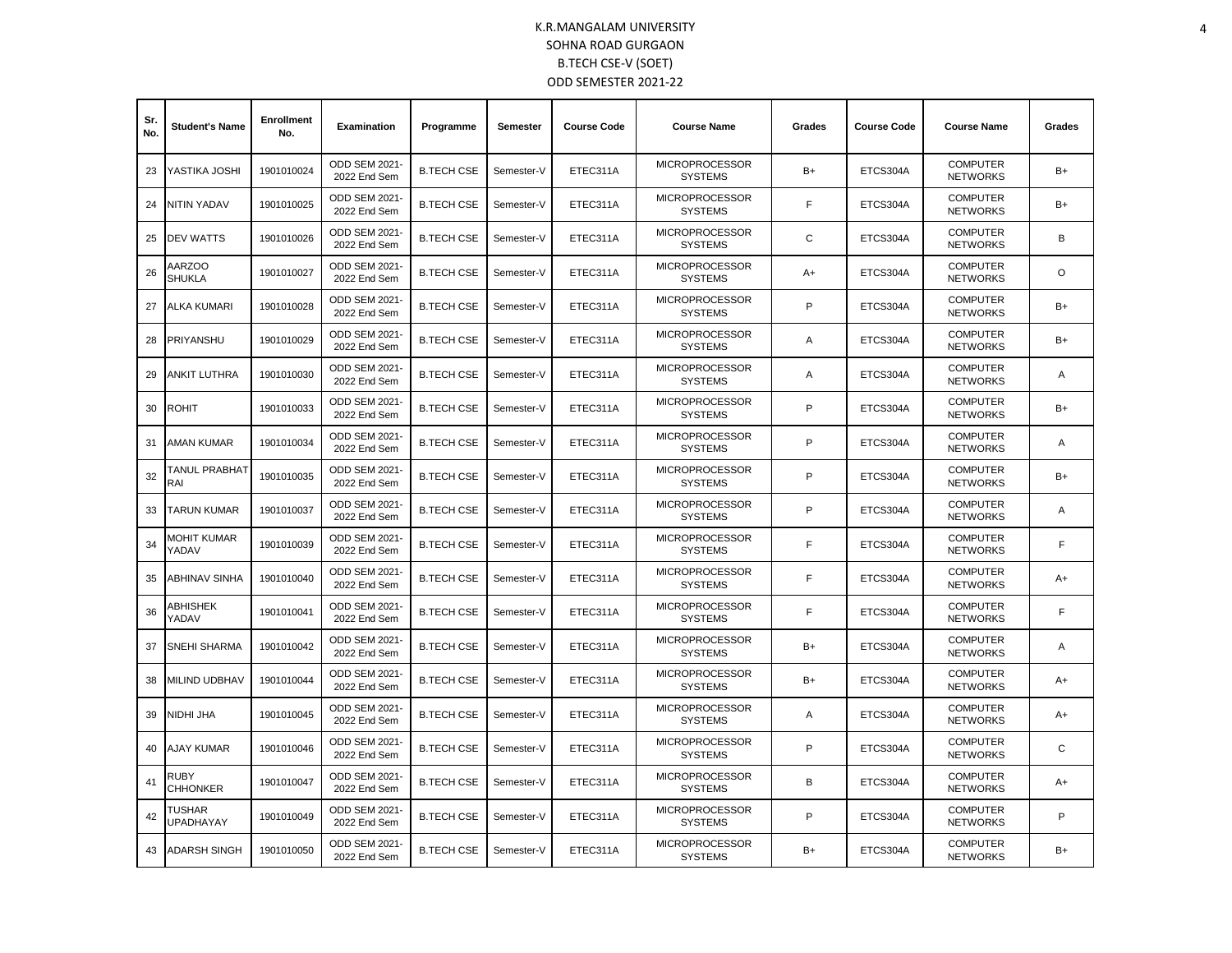| Sr.<br>No. | <b>Student's Name</b>          | <b>Enrollment</b><br>No. | <b>Examination</b>                   | Programme         | <b>Semester</b> | <b>Course Code</b> | <b>Course Name</b>                      | Grades      | <b>Course Code</b> | <b>Course Name</b>                 | Grades         |
|------------|--------------------------------|--------------------------|--------------------------------------|-------------------|-----------------|--------------------|-----------------------------------------|-------------|--------------------|------------------------------------|----------------|
| 23         | YASTIKA JOSHI                  | 1901010024               | ODD SEM 2021-<br>2022 End Sem        | <b>B.TECH CSE</b> | Semester-V      | ETEC311A           | <b>MICROPROCESSOR</b><br><b>SYSTEMS</b> | $B+$        | ETCS304A           | <b>COMPUTER</b><br><b>NETWORKS</b> | $B+$           |
| 24         | NITIN YADAV                    | 1901010025               | <b>ODD SEM 2021-</b><br>2022 End Sem | <b>B.TECH CSE</b> | Semester-V      | ETEC311A           | <b>MICROPROCESSOR</b><br><b>SYSTEMS</b> | F           | ETCS304A           | <b>COMPUTER</b><br><b>NETWORKS</b> | B+             |
| 25         | <b>DEV WATTS</b>               | 1901010026               | ODD SEM 2021-<br>2022 End Sem        | <b>B.TECH CSE</b> | Semester-V      | ETEC311A           | <b>MICROPROCESSOR</b><br><b>SYSTEMS</b> | $\mathsf C$ | ETCS304A           | <b>COMPUTER</b><br><b>NETWORKS</b> | B              |
| 26         | AARZOO<br><b>SHUKLA</b>        | 1901010027               | ODD SEM 2021-<br>2022 End Sem        | <b>B.TECH CSE</b> | Semester-V      | ETEC311A           | <b>MICROPROCESSOR</b><br><b>SYSTEMS</b> | A+          | ETCS304A           | <b>COMPUTER</b><br><b>NETWORKS</b> | $\circ$        |
| 27         | ALKA KUMARI                    | 1901010028               | ODD SEM 2021-<br>2022 End Sem        | <b>B.TECH CSE</b> | Semester-V      | ETEC311A           | <b>MICROPROCESSOR</b><br><b>SYSTEMS</b> | P           | ETCS304A           | <b>COMPUTER</b><br><b>NETWORKS</b> | $B+$           |
| 28         | PRIYANSHU                      | 1901010029               | <b>ODD SEM 2021-</b><br>2022 End Sem | <b>B.TECH CSE</b> | Semester-V      | ETEC311A           | <b>MICROPROCESSOR</b><br><b>SYSTEMS</b> | Α           | ETCS304A           | <b>COMPUTER</b><br><b>NETWORKS</b> | B+             |
| 29         | ANKIT LUTHRA                   | 1901010030               | ODD SEM 2021-<br>2022 End Sem        | <b>B.TECH CSE</b> | Semester-V      | ETEC311A           | <b>MICROPROCESSOR</b><br><b>SYSTEMS</b> | Α           | ETCS304A           | <b>COMPUTER</b><br><b>NETWORKS</b> | Α              |
| 30         | <b>ROHIT</b>                   | 1901010033               | ODD SEM 2021-<br>2022 End Sem        | <b>B.TECH CSE</b> | Semester-V      | ETEC311A           | <b>MICROPROCESSOR</b><br><b>SYSTEMS</b> | P           | ETCS304A           | <b>COMPUTER</b><br><b>NETWORKS</b> | B+             |
| 31         | AMAN KUMAR                     | 1901010034               | ODD SEM 2021-<br>2022 End Sem        | <b>B.TECH CSE</b> | Semester-V      | ETEC311A           | <b>MICROPROCESSOR</b><br><b>SYSTEMS</b> | P           | ETCS304A           | <b>COMPUTER</b><br><b>NETWORKS</b> | A              |
| 32         | TANUL PRABHAT<br>RAI           | 1901010035               | ODD SEM 2021-<br>2022 End Sem        | <b>B.TECH CSE</b> | Semester-V      | ETEC311A           | <b>MICROPROCESSOR</b><br><b>SYSTEMS</b> | P           | ETCS304A           | <b>COMPUTER</b><br><b>NETWORKS</b> | $B+$           |
| 33         | TARUN KUMAR                    | 1901010037               | <b>ODD SEM 2021-</b><br>2022 End Sem | <b>B.TECH CSE</b> | Semester-V      | ETEC311A           | <b>MICROPROCESSOR</b><br><b>SYSTEMS</b> | P           | ETCS304A           | <b>COMPUTER</b><br><b>NETWORKS</b> | Α              |
| 34         | <b>MOHIT KUMAR</b><br>YADAV    | 1901010039               | <b>ODD SEM 2021-</b><br>2022 End Sem | <b>B.TECH CSE</b> | Semester-V      | ETEC311A           | <b>MICROPROCESSOR</b><br><b>SYSTEMS</b> | F           | ETCS304A           | <b>COMPUTER</b><br><b>NETWORKS</b> | F              |
| 35         | ABHINAV SINHA                  | 1901010040               | ODD SEM 2021-<br>2022 End Sem        | <b>B.TECH CSE</b> | Semester-V      | ETEC311A           | <b>MICROPROCESSOR</b><br><b>SYSTEMS</b> | F           | ETCS304A           | <b>COMPUTER</b><br><b>NETWORKS</b> | A+             |
| 36         | ABHISHEK<br>YADAV              | 1901010041               | ODD SEM 2021-<br>2022 End Sem        | <b>B.TECH CSE</b> | Semester-V      | ETEC311A           | <b>MICROPROCESSOR</b><br><b>SYSTEMS</b> | F           | ETCS304A           | <b>COMPUTER</b><br><b>NETWORKS</b> | F              |
| 37         | <b>SNEHI SHARMA</b>            | 1901010042               | ODD SEM 2021-<br>2022 End Sem        | <b>B.TECH CSE</b> | Semester-V      | ETEC311A           | <b>MICROPROCESSOR</b><br><b>SYSTEMS</b> | $B+$        | ETCS304A           | <b>COMPUTER</b><br><b>NETWORKS</b> | $\overline{A}$ |
| 38         | MILIND UDBHAV                  | 1901010044               | ODD SEM 2021-<br>2022 End Sem        | <b>B.TECH CSE</b> | Semester-V      | ETEC311A           | <b>MICROPROCESSOR</b><br><b>SYSTEMS</b> | $B+$        | ETCS304A           | <b>COMPUTER</b><br><b>NETWORKS</b> | A+             |
| 39         | NIDHI JHA                      | 1901010045               | ODD SEM 2021-<br>2022 End Sem        | <b>B.TECH CSE</b> | Semester-V      | ETEC311A           | <b>MICROPROCESSOR</b><br><b>SYSTEMS</b> | A           | ETCS304A           | <b>COMPUTER</b><br><b>NETWORKS</b> | A+             |
| 40         | AJAY KUMAR                     | 1901010046               | ODD SEM 2021-<br>2022 End Sem        | <b>B.TECH CSE</b> | Semester-V      | ETEC311A           | <b>MICROPROCESSOR</b><br><b>SYSTEMS</b> | P           | ETCS304A           | <b>COMPUTER</b><br><b>NETWORKS</b> | C              |
| 41         | <b>RUBY</b><br><b>CHHONKER</b> | 1901010047               | ODD SEM 2021-<br>2022 End Sem        | <b>B.TECH CSE</b> | Semester-V      | ETEC311A           | <b>MICROPROCESSOR</b><br><b>SYSTEMS</b> | B           | ETCS304A           | <b>COMPUTER</b><br><b>NETWORKS</b> | A+             |
| 42         | TUSHAR<br><b>UPADHAYAY</b>     | 1901010049               | ODD SEM 2021-<br>2022 End Sem        | <b>B.TECH CSE</b> | Semester-V      | ETEC311A           | <b>MICROPROCESSOR</b><br><b>SYSTEMS</b> | P           | ETCS304A           | <b>COMPUTER</b><br><b>NETWORKS</b> | P              |
| 43         | <b>ADARSH SINGH</b>            | 1901010050               | <b>ODD SEM 2021-</b><br>2022 End Sem | <b>B.TECH CSE</b> | Semester-V      | ETEC311A           | <b>MICROPROCESSOR</b><br><b>SYSTEMS</b> | B+          | ETCS304A           | <b>COMPUTER</b><br><b>NETWORKS</b> | $B+$           |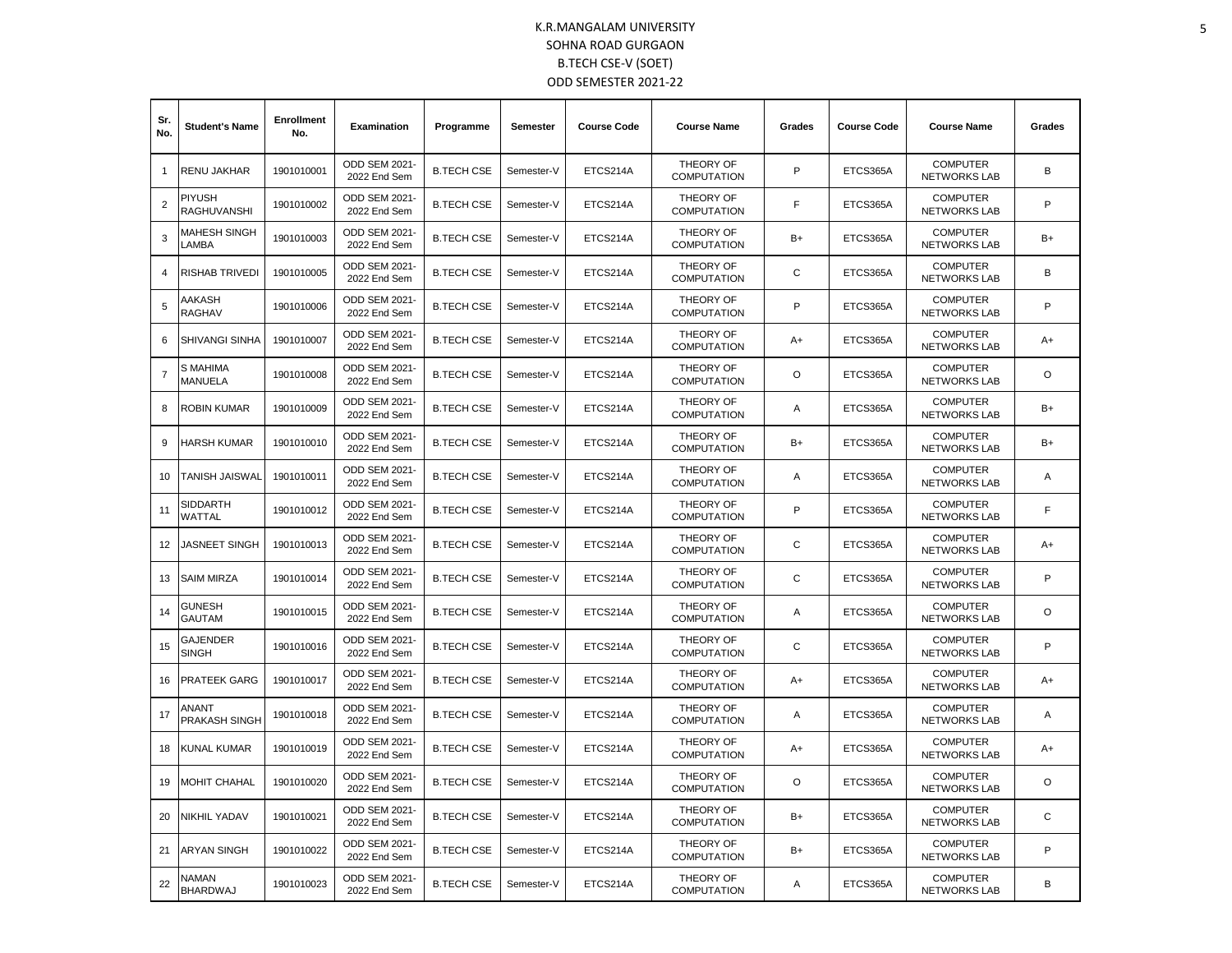| Sr.<br>No.     | <b>Student's Name</b>           | <b>Enrollment</b><br>No. | <b>Examination</b>                   | Programme         | Semester   | <b>Course Code</b> | <b>Course Name</b>                     | Grades | <b>Course Code</b> | <b>Course Name</b>                     | Grades       |
|----------------|---------------------------------|--------------------------|--------------------------------------|-------------------|------------|--------------------|----------------------------------------|--------|--------------------|----------------------------------------|--------------|
| 1              | <b>RENU JAKHAR</b>              | 1901010001               | ODD SEM 2021-<br>2022 End Sem        | <b>B.TECH CSE</b> | Semester-V | ETCS214A           | THEORY OF<br><b>COMPUTATION</b>        | P      | ETCS365A           | <b>COMPUTER</b><br><b>NETWORKS LAB</b> | B            |
| $\overline{2}$ | PIYUSH<br>RAGHUVANSHI           | 1901010002               | ODD SEM 2021-<br>2022 End Sem        | <b>B.TECH CSE</b> | Semester-V | ETCS214A           | <b>THEORY OF</b><br><b>COMPUTATION</b> | F      | ETCS365A           | <b>COMPUTER</b><br><b>NETWORKS LAB</b> | P            |
| 3              | MAHESH SINGH<br>LAMBA           | 1901010003               | ODD SEM 2021-<br>2022 End Sem        | <b>B.TECH CSE</b> | Semester-V | ETCS214A           | THEORY OF<br><b>COMPUTATION</b>        | $B+$   | ETCS365A           | <b>COMPUTER</b><br><b>NETWORKS LAB</b> | B+           |
| 4              | RISHAB TRIVEDI                  | 1901010005               | ODD SEM 2021-<br>2022 End Sem        | <b>B.TECH CSE</b> | Semester-V | ETCS214A           | THEORY OF<br><b>COMPUTATION</b>        | С      | ETCS365A           | <b>COMPUTER</b><br><b>NETWORKS LAB</b> | B            |
| 5              | AAKASH<br><b>RAGHAV</b>         | 1901010006               | ODD SEM 2021-<br>2022 End Sem        | <b>B.TECH CSE</b> | Semester-V | ETCS214A           | THEORY OF<br><b>COMPUTATION</b>        | P      | ETCS365A           | <b>COMPUTER</b><br><b>NETWORKS LAB</b> | P            |
| 6              | SHIVANGI SINHA                  | 1901010007               | ODD SEM 2021-<br>2022 End Sem        | <b>B.TECH CSE</b> | Semester-V | ETCS214A           | THEORY OF<br><b>COMPUTATION</b>        | $A+$   | ETCS365A           | <b>COMPUTER</b><br><b>NETWORKS LAB</b> | A+           |
| $\overline{7}$ | S MAHIMA<br><b>MANUELA</b>      | 1901010008               | ODD SEM 2021-<br>2022 End Sem        | <b>B.TECH CSE</b> | Semester-V | ETCS214A           | THEORY OF<br><b>COMPUTATION</b>        | O      | ETCS365A           | <b>COMPUTER</b><br><b>NETWORKS LAB</b> | O            |
| 8              | ROBIN KUMAR                     | 1901010009               | <b>ODD SEM 2021-</b><br>2022 End Sem | <b>B.TECH CSE</b> | Semester-V | ETCS214A           | THEORY OF<br><b>COMPUTATION</b>        | A      | ETCS365A           | <b>COMPUTER</b><br><b>NETWORKS LAB</b> | $B+$         |
| 9              | HARSH KUMAR                     | 1901010010               | ODD SEM 2021-<br>2022 End Sem        | <b>B.TECH CSE</b> | Semester-V | ETCS214A           | THEORY OF<br><b>COMPUTATION</b>        | $B+$   | ETCS365A           | <b>COMPUTER</b><br><b>NETWORKS LAB</b> | B+           |
| 10             | <b>TANISH JAISWAL</b>           | 1901010011               | <b>ODD SEM 2021-</b><br>2022 End Sem | <b>B.TECH CSE</b> | Semester-V | ETCS214A           | THEORY OF<br><b>COMPUTATION</b>        | Α      | ETCS365A           | <b>COMPUTER</b><br><b>NETWORKS LAB</b> | Α            |
| 11             | SIDDARTH<br>WATTAL              | 1901010012               | ODD SEM 2021-<br>2022 End Sem        | <b>B.TECH CSE</b> | Semester-V | ETCS214A           | THEORY OF<br><b>COMPUTATION</b>        | P      | ETCS365A           | <b>COMPUTER</b><br><b>NETWORKS LAB</b> | F            |
| 12             | <b>JASNEET SINGH</b>            | 1901010013               | ODD SEM 2021-<br>2022 End Sem        | <b>B.TECH CSE</b> | Semester-V | ETCS214A           | THEORY OF<br><b>COMPUTATION</b>        | C      | ETCS365A           | <b>COMPUTER</b><br><b>NETWORKS LAB</b> | A+           |
| 13             | <b>SAIM MIRZA</b>               | 1901010014               | ODD SEM 2021-<br>2022 End Sem        | <b>B.TECH CSE</b> | Semester-V | ETCS214A           | THEORY OF<br><b>COMPUTATION</b>        | С      | ETCS365A           | <b>COMPUTER</b><br>NETWORKS LAB        | P            |
| 14             | <b>GUNESH</b><br><b>GAUTAM</b>  | 1901010015               | ODD SEM 2021-<br>2022 End Sem        | <b>B.TECH CSE</b> | Semester-V | ETCS214A           | THEORY OF<br><b>COMPUTATION</b>        | Α      | ETCS365A           | <b>COMPUTER</b><br>NETWORKS LAB        | O            |
| 15             | <b>GAJENDER</b><br><b>SINGH</b> | 1901010016               | ODD SEM 2021-<br>2022 End Sem        | <b>B.TECH CSE</b> | Semester-V | ETCS214A           | THEORY OF<br><b>COMPUTATION</b>        | C      | ETCS365A           | <b>COMPUTER</b><br>NETWORKS LAB        | P            |
| 16             | PRATEEK GARG                    | 1901010017               | <b>ODD SEM 2021-</b><br>2022 End Sem | <b>B.TECH CSE</b> | Semester-V | ETCS214A           | THEORY OF<br><b>COMPUTATION</b>        | $A+$   | ETCS365A           | <b>COMPUTER</b><br><b>NETWORKS LAB</b> | A+           |
| 17             | ANANT<br>PRAKASH SINGH          | 1901010018               | ODD SEM 2021-<br>2022 End Sem        | <b>B.TECH CSE</b> | Semester-V | ETCS214A           | THEORY OF<br><b>COMPUTATION</b>        | Α      | ETCS365A           | <b>COMPUTER</b><br><b>NETWORKS LAB</b> | Α            |
| 18             | KUNAL KUMAR                     | 1901010019               | <b>ODD SEM 2021-</b><br>2022 End Sem | <b>B.TECH CSE</b> | Semester-V | ETCS214A           | THEORY OF<br><b>COMPUTATION</b>        | A+     | ETCS365A           | <b>COMPUTER</b><br><b>NETWORKS LAB</b> | A+           |
| 19             | MOHIT CHAHAL                    | 1901010020               | ODD SEM 2021-<br>2022 End Sem        | <b>B.TECH CSE</b> | Semester-V | ETCS214A           | THEORY OF<br><b>COMPUTATION</b>        | O      | ETCS365A           | <b>COMPUTER</b><br><b>NETWORKS LAB</b> | O            |
| 20             | NIKHIL YADAV                    | 1901010021               | ODD SEM 2021-<br>2022 End Sem        | <b>B.TECH CSE</b> | Semester-V | ETCS214A           | THEORY OF<br><b>COMPUTATION</b>        | $B+$   | ETCS365A           | <b>COMPUTER</b><br><b>NETWORKS LAB</b> | $\mathsf{C}$ |
| 21             | <b>ARYAN SINGH</b>              | 1901010022               | ODD SEM 2021-<br>2022 End Sem        | <b>B.TECH CSE</b> | Semester-V | ETCS214A           | THEORY OF<br><b>COMPUTATION</b>        | $B+$   | ETCS365A           | <b>COMPUTER</b><br><b>NETWORKS LAB</b> | P            |
| 22             | <b>NAMAN</b><br><b>BHARDWAJ</b> | 1901010023               | ODD SEM 2021-<br>2022 End Sem        | <b>B.TECH CSE</b> | Semester-V | ETCS214A           | THEORY OF<br><b>COMPUTATION</b>        | Α      | ETCS365A           | <b>COMPUTER</b><br><b>NETWORKS LAB</b> | В            |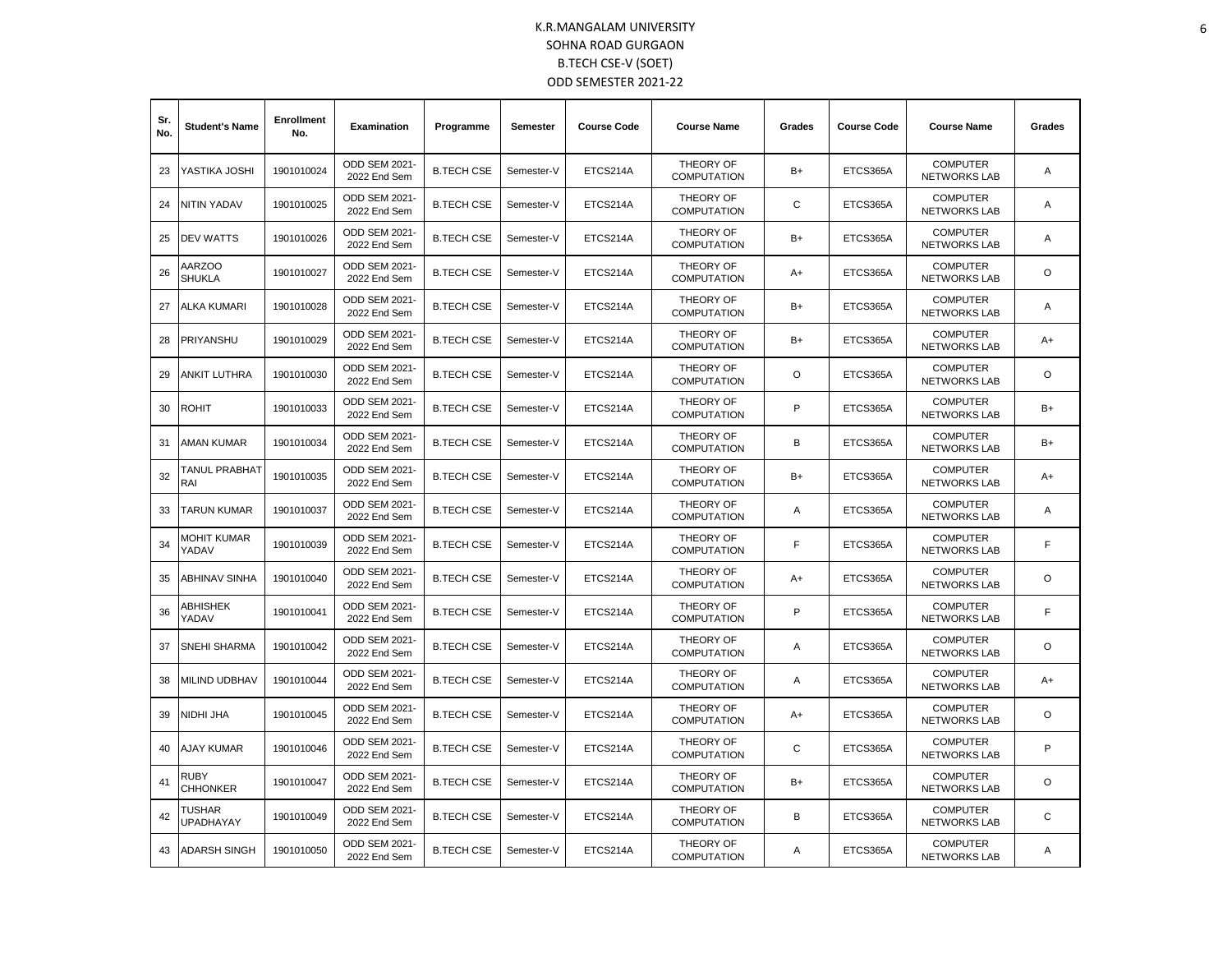| Sr.<br>No. | <b>Student's Name</b>          | <b>Enrollment</b><br>No. | Examination                          | Programme         | <b>Semester</b> | <b>Course Code</b> | <b>Course Name</b>              | Grades | <b>Course Code</b> | <b>Course Name</b>                     | Grades   |
|------------|--------------------------------|--------------------------|--------------------------------------|-------------------|-----------------|--------------------|---------------------------------|--------|--------------------|----------------------------------------|----------|
| 23         | YASTIKA JOSHI                  | 1901010024               | ODD SEM 2021-<br>2022 End Sem        | <b>B.TECH CSE</b> | Semester-V      | ETCS214A           | THEORY OF<br><b>COMPUTATION</b> | $B+$   | ETCS365A           | <b>COMPUTER</b><br><b>NETWORKS LAB</b> | A        |
| 24         | NITIN YADAV                    | 1901010025               | ODD SEM 2021-<br>2022 End Sem        | <b>B.TECH CSE</b> | Semester-V      | ETCS214A           | THEORY OF<br><b>COMPUTATION</b> | C      | ETCS365A           | <b>COMPUTER</b><br>NETWORKS LAB        | A        |
| 25         | <b>DEV WATTS</b>               | 1901010026               | ODD SEM 2021-<br>2022 End Sem        | <b>B.TECH CSE</b> | Semester-V      | ETCS214A           | THEORY OF<br><b>COMPUTATION</b> | $B+$   | ETCS365A           | <b>COMPUTER</b><br><b>NETWORKS LAB</b> | Α        |
| 26         | <b>AARZOO</b><br><b>SHUKLA</b> | 1901010027               | <b>ODD SEM 2021-</b><br>2022 End Sem | <b>B.TECH CSE</b> | Semester-V      | ETCS214A           | THEORY OF<br><b>COMPUTATION</b> | $A+$   | ETCS365A           | <b>COMPUTER</b><br><b>NETWORKS LAB</b> | $\Omega$ |
| 27         | ALKA KUMARI                    | 1901010028               | ODD SEM 2021-<br>2022 End Sem        | <b>B.TECH CSE</b> | Semester-V      | ETCS214A           | THEORY OF<br><b>COMPUTATION</b> | B+     | ETCS365A           | <b>COMPUTER</b><br><b>NETWORKS LAB</b> | Α        |
| 28         | PRIYANSHU                      | 1901010029               | <b>ODD SEM 2021-</b><br>2022 End Sem | <b>B.TECH CSE</b> | Semester-V      | ETCS214A           | THEORY OF<br><b>COMPUTATION</b> | $B+$   | ETCS365A           | <b>COMPUTER</b><br><b>NETWORKS LAB</b> | A+       |
| 29         | ANKIT LUTHRA                   | 1901010030               | <b>ODD SEM 2021-</b><br>2022 End Sem | <b>B.TECH CSE</b> | Semester-V      | ETCS214A           | THEORY OF<br><b>COMPUTATION</b> | O      | ETCS365A           | <b>COMPUTER</b><br><b>NETWORKS LAB</b> | O        |
| 30         | ROHIT                          | 1901010033               | ODD SEM 2021-<br>2022 End Sem        | <b>B.TECH CSE</b> | Semester-V      | ETCS214A           | THEORY OF<br><b>COMPUTATION</b> | P      | ETCS365A           | <b>COMPUTER</b><br><b>NETWORKS LAB</b> | B+       |
| 31         | AMAN KUMAR                     | 1901010034               | ODD SEM 2021-<br>2022 End Sem        | <b>B.TECH CSE</b> | Semester-V      | ETCS214A           | THEORY OF<br><b>COMPUTATION</b> | B      | ETCS365A           | <b>COMPUTER</b><br><b>NETWORKS LAB</b> | B+       |
| 32         | TANUL PRABHAT<br>RAI           | 1901010035               | ODD SEM 2021-<br>2022 End Sem        | <b>B.TECH CSE</b> | Semester-V      | ETCS214A           | THEORY OF<br><b>COMPUTATION</b> | B+     | ETCS365A           | <b>COMPUTER</b><br><b>NETWORKS LAB</b> | A+       |
| 33         | TARUN KUMAR                    | 1901010037               | ODD SEM 2021-<br>2022 End Sem        | <b>B.TECH CSE</b> | Semester-V      | ETCS214A           | THEORY OF<br><b>COMPUTATION</b> | Α      | ETCS365A           | <b>COMPUTER</b><br><b>NETWORKS LAB</b> | Α        |
| 34         | MOHIT KUMAR<br>YADAV           | 1901010039               | ODD SEM 2021-<br>2022 End Sem        | <b>B.TECH CSE</b> | Semester-V      | ETCS214A           | THEORY OF<br><b>COMPUTATION</b> | F      | ETCS365A           | <b>COMPUTER</b><br><b>NETWORKS LAB</b> | F        |
| 35         | ABHINAV SINHA                  | 1901010040               | ODD SEM 2021-<br>2022 End Sem        | <b>B.TECH CSE</b> | Semester-V      | ETCS214A           | THEORY OF<br><b>COMPUTATION</b> | $A+$   | ETCS365A           | <b>COMPUTER</b><br><b>NETWORKS LAB</b> | O        |
| 36         | ABHISHEK<br>YADAV              | 1901010041               | ODD SEM 2021-<br>2022 End Sem        | <b>B.TECH CSE</b> | Semester-V      | ETCS214A           | THEORY OF<br><b>COMPUTATION</b> | P      | ETCS365A           | <b>COMPUTER</b><br><b>NETWORKS LAB</b> | F        |
| 37         | <b>SNEHI SHARMA</b>            | 1901010042               | ODD SEM 2021-<br>2022 End Sem        | <b>B.TECH CSE</b> | Semester-V      | ETCS214A           | THEORY OF<br><b>COMPUTATION</b> | A      | ETCS365A           | <b>COMPUTER</b><br><b>NETWORKS LAB</b> | O        |
| 38         | MILIND UDBHAV                  | 1901010044               | ODD SEM 2021-<br>2022 End Sem        | <b>B.TECH CSE</b> | Semester-V      | ETCS214A           | THEORY OF<br><b>COMPUTATION</b> | A      | ETCS365A           | <b>COMPUTER</b><br><b>NETWORKS LAB</b> | A+       |
| 39         | NIDHI JHA                      | 1901010045               | ODD SEM 2021-<br>2022 End Sem        | <b>B.TECH CSE</b> | Semester-V      | ETCS214A           | THEORY OF<br><b>COMPUTATION</b> | $A+$   | ETCS365A           | <b>COMPUTER</b><br><b>NETWORKS LAB</b> | O        |
| 40         | <b>AJAY KUMAR</b>              | 1901010046               | ODD SEM 2021-<br>2022 End Sem        | <b>B.TECH CSE</b> | Semester-V      | ETCS214A           | THEORY OF<br><b>COMPUTATION</b> | C      | ETCS365A           | <b>COMPUTER</b><br><b>NETWORKS LAB</b> | P        |
| 41         | RUBY<br><b>CHHONKER</b>        | 1901010047               | ODD SEM 2021-<br>2022 End Sem        | <b>B.TECH CSE</b> | Semester-V      | ETCS214A           | THEORY OF<br><b>COMPUTATION</b> | $B+$   | ETCS365A           | <b>COMPUTER</b><br><b>NETWORKS LAB</b> | O        |
| 42         | TUSHAR<br><b>UPADHAYAY</b>     | 1901010049               | ODD SEM 2021-<br>2022 End Sem        | <b>B.TECH CSE</b> | Semester-V      | ETCS214A           | THEORY OF<br><b>COMPUTATION</b> | В      | ETCS365A           | <b>COMPUTER</b><br><b>NETWORKS LAB</b> | C        |
| 43         | <b>ADARSH SINGH</b>            | 1901010050               | ODD SEM 2021-<br>2022 End Sem        | <b>B.TECH CSE</b> | Semester-V      | ETCS214A           | THEORY OF<br><b>COMPUTATION</b> | Α      | ETCS365A           | <b>COMPUTER</b><br><b>NETWORKS LAB</b> | Α        |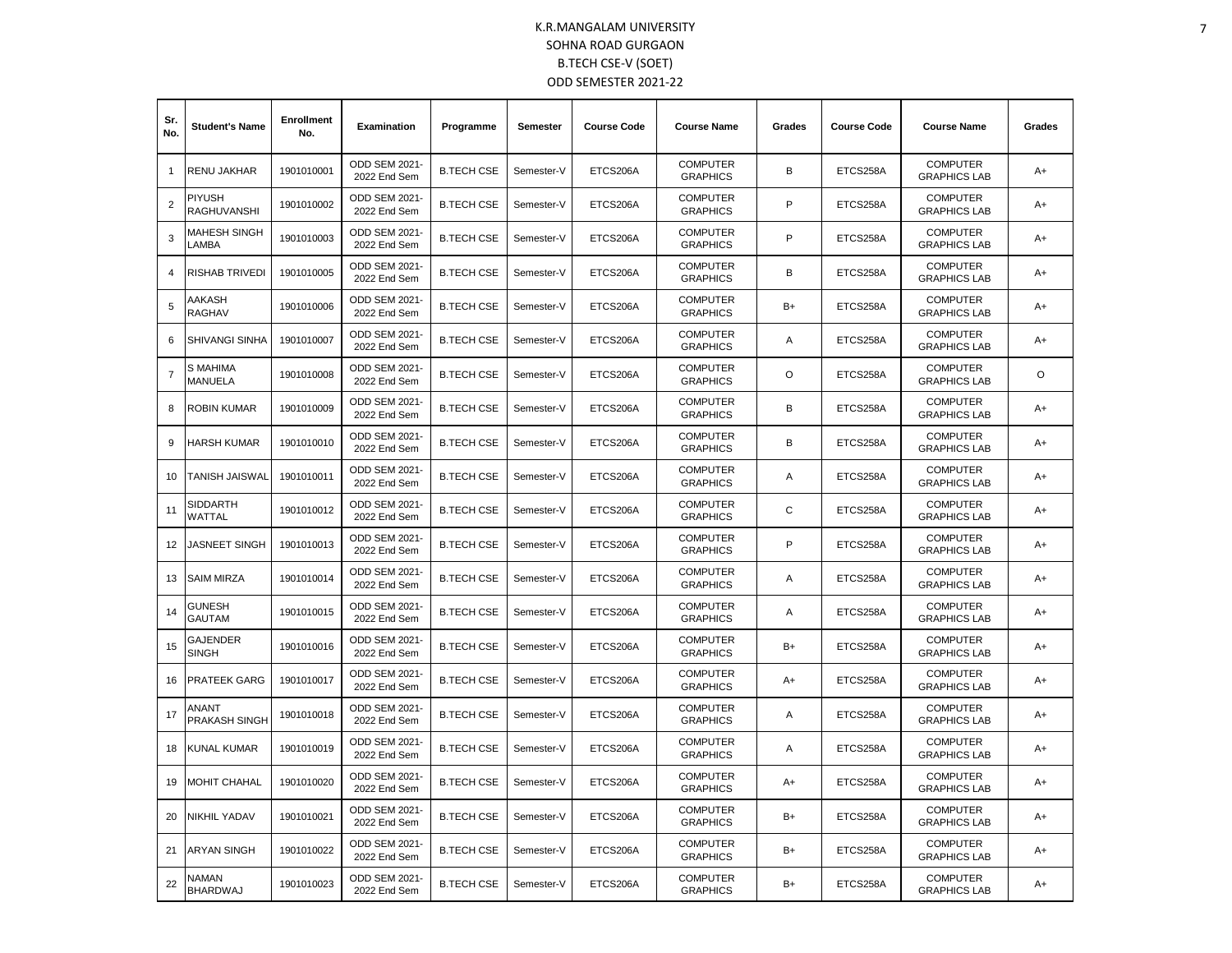| Sr.<br>No.     | <b>Student's Name</b>           | <b>Enrollment</b><br>No. | Examination                   | Programme         | Semester   | <b>Course Code</b> | <b>Course Name</b>                 | Grades  | <b>Course Code</b> | <b>Course Name</b>                     | Grades |
|----------------|---------------------------------|--------------------------|-------------------------------|-------------------|------------|--------------------|------------------------------------|---------|--------------------|----------------------------------------|--------|
| $\mathbf{1}$   | RENU JAKHAR                     | 1901010001               | ODD SEM 2021-<br>2022 End Sem | <b>B.TECH CSE</b> | Semester-V | ETCS206A           | <b>COMPUTER</b><br><b>GRAPHICS</b> | B       | ETCS258A           | <b>COMPUTER</b><br><b>GRAPHICS LAB</b> | $A+$   |
| $\overline{c}$ | PIYUSH<br>RAGHUVANSHI           | 1901010002               | ODD SEM 2021-<br>2022 End Sem | <b>B.TECH CSE</b> | Semester-V | ETCS206A           | <b>COMPUTER</b><br><b>GRAPHICS</b> | P       | ETCS258A           | <b>COMPUTER</b><br><b>GRAPHICS LAB</b> | $A+$   |
| 3              | MAHESH SINGH<br>LAMBA           | 1901010003               | ODD SEM 2021-<br>2022 End Sem | <b>B.TECH CSE</b> | Semester-V | ETCS206A           | <b>COMPUTER</b><br><b>GRAPHICS</b> | P       | ETCS258A           | <b>COMPUTER</b><br><b>GRAPHICS LAB</b> | A+     |
| $\overline{4}$ | <b>RISHAB TRIVEDI</b>           | 1901010005               | ODD SEM 2021-<br>2022 End Sem | <b>B.TECH CSE</b> | Semester-V | ETCS206A           | <b>COMPUTER</b><br><b>GRAPHICS</b> | B       | ETCS258A           | <b>COMPUTER</b><br><b>GRAPHICS LAB</b> | $A+$   |
| 5              | AAKASH<br><b>RAGHAV</b>         | 1901010006               | ODD SEM 2021-<br>2022 End Sem | <b>B.TECH CSE</b> | Semester-V | ETCS206A           | <b>COMPUTER</b><br><b>GRAPHICS</b> | B+      | ETCS258A           | <b>COMPUTER</b><br><b>GRAPHICS LAB</b> | A+     |
| 6              | <b>SHIVANGI SINHA</b>           | 1901010007               | ODD SEM 2021-<br>2022 End Sem | <b>B.TECH CSE</b> | Semester-V | ETCS206A           | <b>COMPUTER</b><br><b>GRAPHICS</b> | A       | ETCS258A           | <b>COMPUTER</b><br><b>GRAPHICS LAB</b> | $A+$   |
| $\overline{7}$ | S MAHIMA<br><b>MANUELA</b>      | 1901010008               | ODD SEM 2021-<br>2022 End Sem | <b>B.TECH CSE</b> | Semester-V | ETCS206A           | <b>COMPUTER</b><br><b>GRAPHICS</b> | $\circ$ | ETCS258A           | <b>COMPUTER</b><br><b>GRAPHICS LAB</b> | O      |
| 8              | ROBIN KUMAR                     | 1901010009               | ODD SEM 2021-<br>2022 End Sem | <b>B.TECH CSE</b> | Semester-V | ETCS206A           | <b>COMPUTER</b><br><b>GRAPHICS</b> | В       | ETCS258A           | <b>COMPUTER</b><br><b>GRAPHICS LAB</b> | A+     |
| 9              | HARSH KUMAR                     | 1901010010               | ODD SEM 2021-<br>2022 End Sem | <b>B.TECH CSE</b> | Semester-V | ETCS206A           | <b>COMPUTER</b><br><b>GRAPHICS</b> | B       | ETCS258A           | <b>COMPUTER</b><br><b>GRAPHICS LAB</b> | A+     |
| 10             | <b>TANISH JAISWAL</b>           | 1901010011               | ODD SEM 2021-<br>2022 End Sem | <b>B.TECH CSE</b> | Semester-V | ETCS206A           | <b>COMPUTER</b><br><b>GRAPHICS</b> | A       | ETCS258A           | <b>COMPUTER</b><br><b>GRAPHICS LAB</b> | $A+$   |
| 11             | <b>SIDDARTH</b><br>WATTAL       | 1901010012               | ODD SEM 2021-<br>2022 End Sem | <b>B.TECH CSE</b> | Semester-V | ETCS206A           | <b>COMPUTER</b><br><b>GRAPHICS</b> | C       | ETCS258A           | <b>COMPUTER</b><br><b>GRAPHICS LAB</b> | A+     |
| 12             | JASNEET SINGH                   | 1901010013               | ODD SEM 2021-<br>2022 End Sem | <b>B.TECH CSE</b> | Semester-V | ETCS206A           | <b>COMPUTER</b><br><b>GRAPHICS</b> | P       | ETCS258A           | <b>COMPUTER</b><br><b>GRAPHICS LAB</b> | $A+$   |
| 13             | <b>SAIM MIRZA</b>               | 1901010014               | ODD SEM 2021-<br>2022 End Sem | <b>B.TECH CSE</b> | Semester-V | ETCS206A           | <b>COMPUTER</b><br><b>GRAPHICS</b> | Α       | ETCS258A           | <b>COMPUTER</b><br><b>GRAPHICS LAB</b> | A+     |
| 14             | GUNESH<br><b>GAUTAM</b>         | 1901010015               | ODD SEM 2021-<br>2022 End Sem | <b>B.TECH CSE</b> | Semester-V | ETCS206A           | <b>COMPUTER</b><br><b>GRAPHICS</b> | Α       | ETCS258A           | <b>COMPUTER</b><br><b>GRAPHICS LAB</b> | A+     |
| 15             | <b>GAJENDER</b><br><b>SINGH</b> | 1901010016               | ODD SEM 2021-<br>2022 End Sem | <b>B.TECH CSE</b> | Semester-V | ETCS206A           | <b>COMPUTER</b><br><b>GRAPHICS</b> | B+      | ETCS258A           | <b>COMPUTER</b><br><b>GRAPHICS LAB</b> | A+     |
| 16             | <b>PRATEEK GARG</b>             | 1901010017               | ODD SEM 2021-<br>2022 End Sem | <b>B.TECH CSE</b> | Semester-V | ETCS206A           | <b>COMPUTER</b><br><b>GRAPHICS</b> | A+      | ETCS258A           | <b>COMPUTER</b><br><b>GRAPHICS LAB</b> | $A+$   |
| 17             | ANANT<br>PRAKASH SINGH          | 1901010018               | ODD SEM 2021-<br>2022 End Sem | <b>B.TECH CSE</b> | Semester-V | ETCS206A           | <b>COMPUTER</b><br><b>GRAPHICS</b> | Α       | ETCS258A           | <b>COMPUTER</b><br><b>GRAPHICS LAB</b> | A+     |
| 18             | KUNAL KUMAR                     | 1901010019               | ODD SEM 2021-<br>2022 End Sem | <b>B.TECH CSE</b> | Semester-V | ETCS206A           | <b>COMPUTER</b><br><b>GRAPHICS</b> | Α       | ETCS258A           | <b>COMPUTER</b><br><b>GRAPHICS LAB</b> | $A+$   |
| 19             | MOHIT CHAHAL                    | 1901010020               | ODD SEM 2021-<br>2022 End Sem | <b>B.TECH CSE</b> | Semester-V | ETCS206A           | <b>COMPUTER</b><br><b>GRAPHICS</b> | $A+$    | ETCS258A           | <b>COMPUTER</b><br><b>GRAPHICS LAB</b> | $A+$   |
| 20             | NIKHIL YADAV                    | 1901010021               | ODD SEM 2021-<br>2022 End Sem | <b>B.TECH CSE</b> | Semester-V | ETCS206A           | <b>COMPUTER</b><br><b>GRAPHICS</b> | B+      | ETCS258A           | <b>COMPUTER</b><br><b>GRAPHICS LAB</b> | $A+$   |
| 21             | <b>ARYAN SINGH</b>              | 1901010022               | ODD SEM 2021-<br>2022 End Sem | <b>B.TECH CSE</b> | Semester-V | ETCS206A           | <b>COMPUTER</b><br><b>GRAPHICS</b> | B+      | ETCS258A           | <b>COMPUTER</b><br><b>GRAPHICS LAB</b> | A+     |
| 22             | NAMAN<br><b>BHARDWAJ</b>        | 1901010023               | ODD SEM 2021-<br>2022 End Sem | <b>B.TECH CSE</b> | Semester-V | ETCS206A           | <b>COMPUTER</b><br><b>GRAPHICS</b> | B+      | ETCS258A           | <b>COMPUTER</b><br><b>GRAPHICS LAB</b> | $A+$   |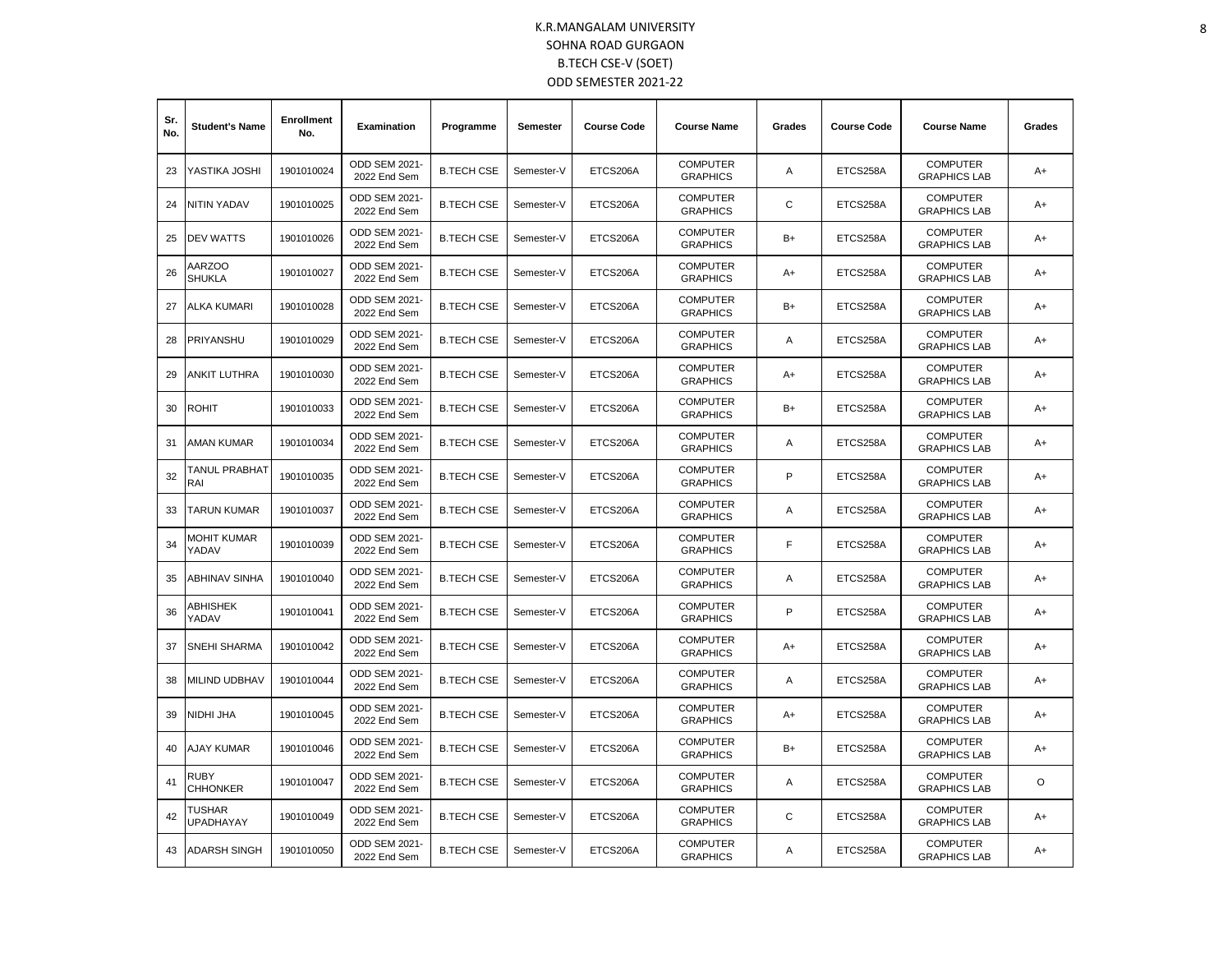| Sr.<br>No. | <b>Student's Name</b>          | <b>Enrollment</b><br>No. | Examination                          | Programme         | Semester   | <b>Course Code</b> | <b>Course Name</b>                 | Grades | <b>Course Code</b> | <b>Course Name</b>                     | Grades |
|------------|--------------------------------|--------------------------|--------------------------------------|-------------------|------------|--------------------|------------------------------------|--------|--------------------|----------------------------------------|--------|
| 23         | YASTIKA JOSHI                  | 1901010024               | ODD SEM 2021-<br>2022 End Sem        | <b>B.TECH CSE</b> | Semester-V | ETCS206A           | <b>COMPUTER</b><br><b>GRAPHICS</b> | Α      | ETCS258A           | <b>COMPUTER</b><br><b>GRAPHICS LAB</b> | A+     |
| 24         | NITIN YADAV                    | 1901010025               | ODD SEM 2021-<br>2022 End Sem        | <b>B.TECH CSE</b> | Semester-V | ETCS206A           | <b>COMPUTER</b><br><b>GRAPHICS</b> | С      | ETCS258A           | <b>COMPUTER</b><br><b>GRAPHICS LAB</b> | A+     |
| 25         | DEV WATTS                      | 1901010026               | ODD SEM 2021-<br>2022 End Sem        | <b>B.TECH CSE</b> | Semester-V | ETCS206A           | <b>COMPUTER</b><br><b>GRAPHICS</b> | $B+$   | ETCS258A           | <b>COMPUTER</b><br><b>GRAPHICS LAB</b> | A+     |
| 26         | AARZOO<br><b>SHUKLA</b>        | 1901010027               | ODD SEM 2021-<br>2022 End Sem        | <b>B.TECH CSE</b> | Semester-V | ETCS206A           | <b>COMPUTER</b><br><b>GRAPHICS</b> | A+     | ETCS258A           | <b>COMPUTER</b><br><b>GRAPHICS LAB</b> | A+     |
| 27         | ALKA KUMARI                    | 1901010028               | <b>ODD SEM 2021-</b><br>2022 End Sem | <b>B.TECH CSE</b> | Semester-V | ETCS206A           | <b>COMPUTER</b><br><b>GRAPHICS</b> | B+     | ETCS258A           | <b>COMPUTER</b><br><b>GRAPHICS LAB</b> | A+     |
| 28         | PRIYANSHU                      | 1901010029               | ODD SEM 2021-<br>2022 End Sem        | <b>B.TECH CSE</b> | Semester-V | ETCS206A           | <b>COMPUTER</b><br><b>GRAPHICS</b> | Α      | ETCS258A           | <b>COMPUTER</b><br><b>GRAPHICS LAB</b> | A+     |
| 29         | ANKIT LUTHRA                   | 1901010030               | ODD SEM 2021-<br>2022 End Sem        | <b>B.TECH CSE</b> | Semester-V | ETCS206A           | <b>COMPUTER</b><br><b>GRAPHICS</b> | A+     | ETCS258A           | <b>COMPUTER</b><br><b>GRAPHICS LAB</b> | A+     |
| 30         | <b>ROHIT</b>                   | 1901010033               | <b>ODD SEM 2021-</b><br>2022 End Sem | <b>B.TECH CSE</b> | Semester-V | ETCS206A           | <b>COMPUTER</b><br><b>GRAPHICS</b> | $B+$   | ETCS258A           | <b>COMPUTER</b><br><b>GRAPHICS LAB</b> | A+     |
| 31         | AMAN KUMAR                     | 1901010034               | <b>ODD SEM 2021-</b><br>2022 End Sem | <b>B.TECH CSE</b> | Semester-V | ETCS206A           | <b>COMPUTER</b><br><b>GRAPHICS</b> | Α      | ETCS258A           | <b>COMPUTER</b><br><b>GRAPHICS LAB</b> | A+     |
| 32         | TANUL PRABHAT<br>RAI           | 1901010035               | <b>ODD SEM 2021-</b><br>2022 End Sem | <b>B.TECH CSE</b> | Semester-V | ETCS206A           | <b>COMPUTER</b><br><b>GRAPHICS</b> | P      | ETCS258A           | <b>COMPUTER</b><br><b>GRAPHICS LAB</b> | A+     |
| 33         | TARUN KUMAR                    | 1901010037               | ODD SEM 2021-<br>2022 End Sem        | <b>B.TECH CSE</b> | Semester-V | ETCS206A           | <b>COMPUTER</b><br><b>GRAPHICS</b> | Α      | ETCS258A           | <b>COMPUTER</b><br><b>GRAPHICS LAB</b> | A+     |
| 34         | MOHIT KUMAR<br>YADAV           | 1901010039               | ODD SEM 2021-<br>2022 End Sem        | <b>B.TECH CSE</b> | Semester-V | ETCS206A           | <b>COMPUTER</b><br><b>GRAPHICS</b> | F      | ETCS258A           | <b>COMPUTER</b><br><b>GRAPHICS LAB</b> | A+     |
| 35         | <b>ABHINAV SINHA</b>           | 1901010040               | ODD SEM 2021-<br>2022 End Sem        | <b>B.TECH CSE</b> | Semester-V | ETCS206A           | <b>COMPUTER</b><br><b>GRAPHICS</b> | Α      | ETCS258A           | <b>COMPUTER</b><br><b>GRAPHICS LAB</b> | A+     |
| 36         | ABHISHEK<br>YADAV              | 1901010041               | ODD SEM 2021-<br>2022 End Sem        | <b>B.TECH CSE</b> | Semester-V | ETCS206A           | <b>COMPUTER</b><br><b>GRAPHICS</b> | P      | ETCS258A           | <b>COMPUTER</b><br><b>GRAPHICS LAB</b> | A+     |
| 37         | <b>SNEHI SHARMA</b>            | 1901010042               | <b>ODD SEM 2021-</b><br>2022 End Sem | <b>B.TECH CSE</b> | Semester-V | ETCS206A           | <b>COMPUTER</b><br><b>GRAPHICS</b> | A+     | ETCS258A           | <b>COMPUTER</b><br><b>GRAPHICS LAB</b> | A+     |
| 38         | MILIND UDBHAV                  | 1901010044               | ODD SEM 2021-<br>2022 End Sem        | <b>B.TECH CSE</b> | Semester-V | ETCS206A           | <b>COMPUTER</b><br><b>GRAPHICS</b> | Α      | ETCS258A           | <b>COMPUTER</b><br><b>GRAPHICS LAB</b> | A+     |
| 39         | NIDHI JHA                      | 1901010045               | ODD SEM 2021-<br>2022 End Sem        | <b>B.TECH CSE</b> | Semester-V | ETCS206A           | <b>COMPUTER</b><br><b>GRAPHICS</b> | $A+$   | ETCS258A           | <b>COMPUTER</b><br><b>GRAPHICS LAB</b> | A+     |
| 40         | AJAY KUMAR                     | 1901010046               | ODD SEM 2021-<br>2022 End Sem        | <b>B.TECH CSE</b> | Semester-V | ETCS206A           | <b>COMPUTER</b><br><b>GRAPHICS</b> | $B+$   | ETCS258A           | <b>COMPUTER</b><br><b>GRAPHICS LAB</b> | A+     |
| 41         | <b>RUBY</b><br><b>CHHONKER</b> | 1901010047               | <b>ODD SEM 2021-</b><br>2022 End Sem | <b>B.TECH CSE</b> | Semester-V | ETCS206A           | <b>COMPUTER</b><br><b>GRAPHICS</b> | Α      | ETCS258A           | <b>COMPUTER</b><br><b>GRAPHICS LAB</b> | O      |
| 42         | TUSHAR<br><b>UPADHAYAY</b>     | 1901010049               | ODD SEM 2021-<br>2022 End Sem        | <b>B.TECH CSE</b> | Semester-V | ETCS206A           | <b>COMPUTER</b><br><b>GRAPHICS</b> | C      | ETCS258A           | <b>COMPUTER</b><br><b>GRAPHICS LAB</b> | A+     |
| 43         | <b>ADARSH SINGH</b>            | 1901010050               | ODD SEM 2021-<br>2022 End Sem        | <b>B.TECH CSE</b> | Semester-V | ETCS206A           | <b>COMPUTER</b><br><b>GRAPHICS</b> | A      | ETCS258A           | <b>COMPUTER</b><br><b>GRAPHICS LAB</b> | A+     |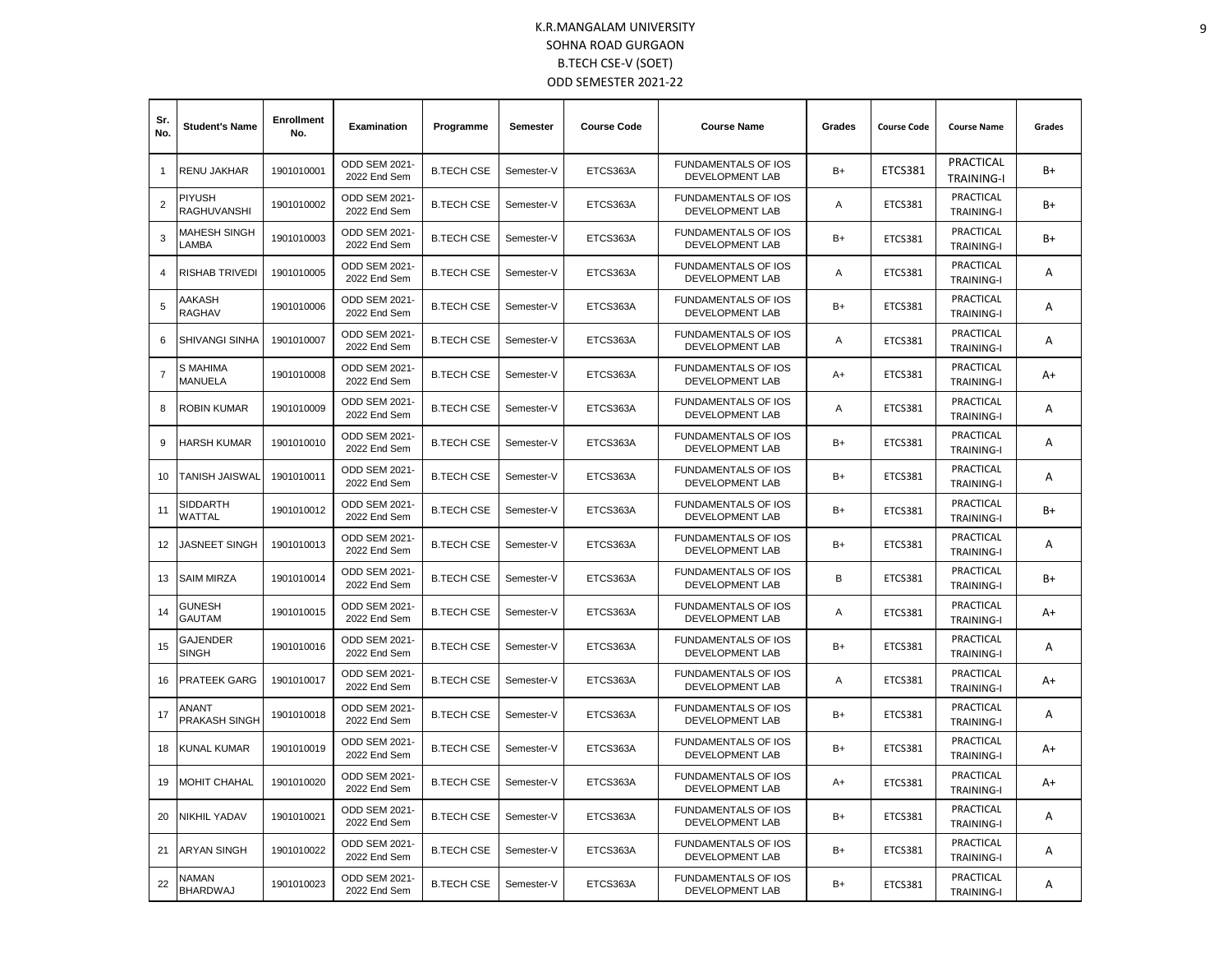| Sr.<br>No.     | <b>Student's Name</b>      | <b>Enrollment</b><br>No. | Examination                          | Programme         | Semester   | <b>Course Code</b> | <b>Course Name</b>                                   | Grades | <b>Course Code</b> | <b>Course Name</b>             | Grades |
|----------------|----------------------------|--------------------------|--------------------------------------|-------------------|------------|--------------------|------------------------------------------------------|--------|--------------------|--------------------------------|--------|
|                | <b>RENU JAKHAR</b>         | 1901010001               | ODD SEM 2021-<br>2022 End Sem        | <b>B.TECH CSE</b> | Semester-V | ETCS363A           | FUNDAMENTALS OF IOS<br>DEVELOPMENT LAB               | $B+$   | <b>ETCS381</b>     | PRACTICAL<br><b>TRAINING-I</b> | B+     |
| $\overline{2}$ | PIYUSH<br>RAGHUVANSHI      | 1901010002               | <b>ODD SEM 2021-</b><br>2022 End Sem | <b>B.TECH CSE</b> | Semester-V | ETCS363A           | <b>FUNDAMENTALS OF IOS</b><br>DEVELOPMENT LAB        | Α      | <b>ETCS381</b>     | PRACTICAL<br><b>TRAINING-I</b> | $B+$   |
| 3              | MAHESH SINGH<br>LAMBA      | 1901010003               | ODD SEM 2021-<br>2022 End Sem        | <b>B.TECH CSE</b> | Semester-V | ETCS363A           | <b>FUNDAMENTALS OF IOS</b><br><b>DEVELOPMENT LAB</b> | $B+$   | ETCS381            | PRACTICAL<br><b>TRAINING-I</b> | B+     |
| 4              | <b>RISHAB TRIVEDI</b>      | 1901010005               | ODD SEM 2021-<br>2022 End Sem        | <b>B.TECH CSE</b> | Semester-V | ETCS363A           | <b>FUNDAMENTALS OF IOS</b><br>DEVELOPMENT LAB        | Α      | ETCS381            | PRACTICAL<br><b>TRAINING-I</b> | Α      |
| 5              | AAKASH<br><b>RAGHAV</b>    | 1901010006               | ODD SEM 2021-<br>2022 End Sem        | <b>B.TECH CSE</b> | Semester-V | ETCS363A           | FUNDAMENTALS OF IOS<br><b>DEVELOPMENT LAB</b>        | $B+$   | <b>ETCS381</b>     | PRACTICAL<br><b>TRAINING-I</b> | A      |
| 6              | <b>SHIVANGI SINHA</b>      | 1901010007               | <b>ODD SEM 2021-</b><br>2022 End Sem | <b>B.TECH CSE</b> | Semester-V | ETCS363A           | <b>FUNDAMENTALS OF IOS</b><br>DEVELOPMENT LAB        | Α      | <b>ETCS381</b>     | PRACTICAL<br><b>TRAINING-I</b> | Α      |
| $\overline{7}$ | S MAHIMA<br><b>MANUELA</b> | 1901010008               | ODD SEM 2021-<br>2022 End Sem        | <b>B.TECH CSE</b> | Semester-V | ETCS363A           | <b>FUNDAMENTALS OF IOS</b><br><b>DEVELOPMENT LAB</b> | $A+$   | <b>ETCS381</b>     | PRACTICAL<br><b>TRAINING-I</b> | $A+$   |
| 8              | <b>ROBIN KUMAR</b>         | 1901010009               | <b>ODD SEM 2021-</b><br>2022 End Sem | <b>B.TECH CSE</b> | Semester-V | ETCS363A           | <b>FUNDAMENTALS OF IOS</b><br>DEVELOPMENT LAB        | A      | ETCS381            | PRACTICAL<br><b>TRAINING-I</b> | A      |
| 9              | HARSH KUMAR                | 1901010010               | ODD SEM 2021-<br>2022 End Sem        | <b>B.TECH CSE</b> | Semester-V | ETCS363A           | <b>FUNDAMENTALS OF IOS</b><br><b>DEVELOPMENT LAB</b> | $B+$   | <b>ETCS381</b>     | PRACTICAL<br><b>TRAINING-I</b> | A      |
| 10             | <b>TANISH JAISWAL</b>      | 1901010011               | ODD SEM 2021-<br>2022 End Sem        | <b>B.TECH CSE</b> | Semester-V | ETCS363A           | <b>FUNDAMENTALS OF IOS</b><br>DEVELOPMENT LAB        | $B+$   | <b>ETCS381</b>     | PRACTICAL<br><b>TRAINING-I</b> | Α      |
| 11             | SIDDARTH<br>WATTAL         | 1901010012               | ODD SEM 2021-<br>2022 End Sem        | <b>B.TECH CSE</b> | Semester-V | ETCS363A           | FUNDAMENTALS OF IOS<br>DEVELOPMENT LAB               | $B+$   | <b>ETCS381</b>     | PRACTICAL<br><b>TRAINING-I</b> | B+     |
| 12             | <b>JASNEET SINGH</b>       | 1901010013               | ODD SEM 2021-<br>2022 End Sem        | <b>B.TECH CSE</b> | Semester-V | ETCS363A           | <b>FUNDAMENTALS OF IOS</b><br>DEVELOPMENT LAB        | $B+$   | ETCS381            | PRACTICAL<br><b>TRAINING-I</b> | Α      |
| 13             | <b>SAIM MIRZA</b>          | 1901010014               | ODD SEM 2021-<br>2022 End Sem        | <b>B.TECH CSE</b> | Semester-V | ETCS363A           | FUNDAMENTALS OF IOS<br>DEVELOPMENT LAB               | B      | ETCS381            | PRACTICAL<br><b>TRAINING-I</b> | B+     |
| 14             | GUNESH<br><b>GAUTAM</b>    | 1901010015               | ODD SEM 2021-<br>2022 End Sem        | <b>B.TECH CSE</b> | Semester-V | ETCS363A           | <b>FUNDAMENTALS OF IOS</b><br><b>DEVELOPMENT LAB</b> | Α      | <b>ETCS381</b>     | PRACTICAL<br><b>TRAINING-I</b> | A+     |
| 15             | GAJENDER<br><b>SINGH</b>   | 1901010016               | ODD SEM 2021-<br>2022 End Sem        | <b>B.TECH CSE</b> | Semester-V | ETCS363A           | FUNDAMENTALS OF IOS<br>DEVELOPMENT LAB               | $B+$   | ETCS381            | PRACTICAL<br><b>TRAINING-I</b> | A      |
| 16             | <b>PRATEEK GARG</b>        | 1901010017               | ODD SEM 2021-<br>2022 End Sem        | <b>B.TECH CSE</b> | Semester-V | ETCS363A           | FUNDAMENTALS OF IOS<br>DEVELOPMENT LAB               | Α      | <b>ETCS381</b>     | PRACTICAL<br><b>TRAINING-I</b> | A+     |
| 17             | ANANT<br>PRAKASH SINGH     | 1901010018               | ODD SEM 2021-<br>2022 End Sem        | <b>B.TECH CSE</b> | Semester-V | ETCS363A           | <b>FUNDAMENTALS OF IOS</b><br>DEVELOPMENT LAB        | B+     | <b>ETCS381</b>     | PRACTICAL<br><b>TRAINING-I</b> | A      |
| 18             | KUNAL KUMAR                | 1901010019               | ODD SEM 2021-<br>2022 End Sem        | <b>B.TECH CSE</b> | Semester-V | ETCS363A           | <b>FUNDAMENTALS OF IOS</b><br>DEVELOPMENT LAB        | $B+$   | ETCS381            | PRACTICAL<br><b>TRAINING-I</b> | A+     |
| 19             | <b>MOHIT CHAHAL</b>        | 1901010020               | ODD SEM 2021-<br>2022 End Sem        | <b>B.TECH CSE</b> | Semester-V | ETCS363A           | <b>FUNDAMENTALS OF IOS</b><br><b>DEVELOPMENT LAB</b> | A+     | <b>ETCS381</b>     | PRACTICAL<br><b>TRAINING-I</b> | $A+$   |
| 20             | <b>NIKHIL YADAV</b>        | 1901010021               | ODD SEM 2021-<br>2022 End Sem        | <b>B.TECH CSE</b> | Semester-V | ETCS363A           | FUNDAMENTALS OF IOS<br>DEVELOPMENT LAB               | $B+$   | <b>ETCS381</b>     | PRACTICAL<br><b>TRAINING-I</b> | Α      |
| 21             | <b>ARYAN SINGH</b>         | 1901010022               | ODD SEM 2021-<br>2022 End Sem        | <b>B.TECH CSE</b> | Semester-V | ETCS363A           | <b>FUNDAMENTALS OF IOS</b><br>DEVELOPMENT LAB        | $B+$   | <b>ETCS381</b>     | PRACTICAL<br><b>TRAINING-I</b> | A      |
| 22             | NAMAN<br><b>BHARDWAJ</b>   | 1901010023               | <b>ODD SEM 2021-</b><br>2022 End Sem | <b>B.TECH CSE</b> | Semester-V | ETCS363A           | <b>FUNDAMENTALS OF IOS</b><br>DEVELOPMENT LAB        | $B+$   | ETCS381            | PRACTICAL<br><b>TRAINING-I</b> | Α      |